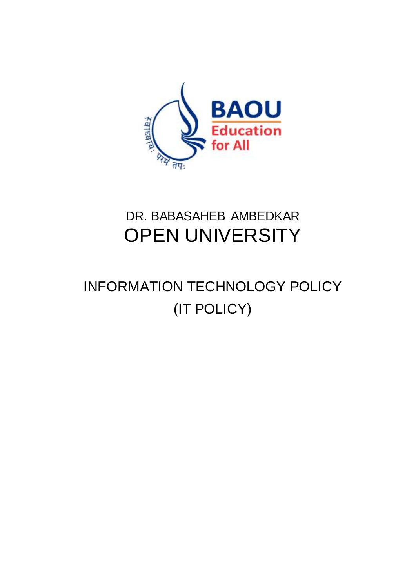

# DR. BABASAHEB AMBEDKAR OPEN UNIVERSITY

# INFORMATION TECHNOLOGY POLICY (IT POLICY)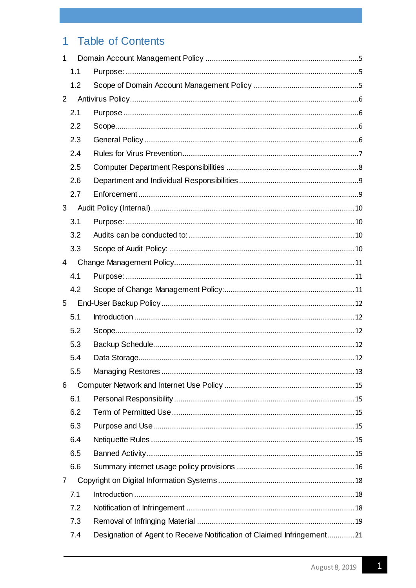# 1 Table of Contents

| 1 |     |                                                                        |
|---|-----|------------------------------------------------------------------------|
|   | 1.1 |                                                                        |
|   | 1.2 |                                                                        |
| 2 |     |                                                                        |
|   | 2.1 |                                                                        |
|   | 2.2 |                                                                        |
|   | 2.3 |                                                                        |
|   | 2.4 |                                                                        |
|   | 2.5 |                                                                        |
|   | 2.6 |                                                                        |
|   | 2.7 |                                                                        |
| 3 |     |                                                                        |
|   | 3.1 |                                                                        |
|   | 3.2 |                                                                        |
|   | 3.3 |                                                                        |
| 4 |     |                                                                        |
|   | 4.1 |                                                                        |
|   | 4.2 |                                                                        |
| 5 |     |                                                                        |
|   | 5.1 |                                                                        |
|   | 5.2 |                                                                        |
|   | 5.3 |                                                                        |
|   | 5.4 |                                                                        |
|   | 5.5 |                                                                        |
| 6 |     |                                                                        |
|   | 6.1 |                                                                        |
|   | 6.2 |                                                                        |
|   | 6.3 |                                                                        |
|   | 6.4 |                                                                        |
|   | 6.5 |                                                                        |
|   | 6.6 |                                                                        |
| 7 |     |                                                                        |
|   | 7.1 |                                                                        |
|   | 7.2 |                                                                        |
|   | 7.3 |                                                                        |
|   | 7.4 | Designation of Agent to Receive Notification of Claimed Infringement21 |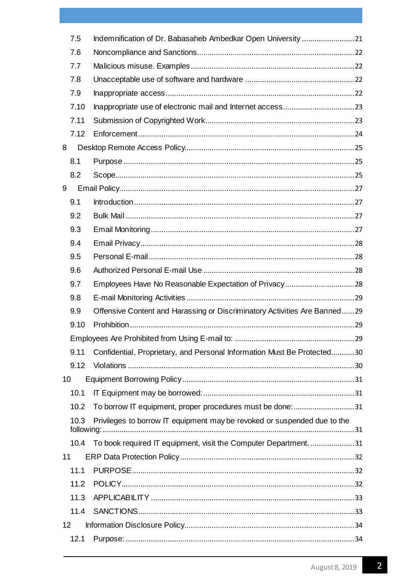| 7.5  | Indemnification of Dr. Babasaheb Ambedkar Open University 21              |  |
|------|---------------------------------------------------------------------------|--|
| 7.6  |                                                                           |  |
| 7.7  |                                                                           |  |
| 7.8  |                                                                           |  |
| 7.9  |                                                                           |  |
| 7.10 |                                                                           |  |
| 7.11 |                                                                           |  |
| 7.12 |                                                                           |  |
| 8    |                                                                           |  |
| 8.1  |                                                                           |  |
| 8.2  |                                                                           |  |
| 9    |                                                                           |  |
| 9.1  |                                                                           |  |
| 9.2  |                                                                           |  |
| 9.3  |                                                                           |  |
| 9.4  |                                                                           |  |
| 9.5  |                                                                           |  |
| 9.6  |                                                                           |  |
| 9.7  |                                                                           |  |
| 9.8  |                                                                           |  |
| 9.9  | Offensive Content and Harassing or Discriminatory Activities Are Banned29 |  |
| 9.10 |                                                                           |  |
|      |                                                                           |  |
| 9.11 | Confidential, Proprietary, and Personal Information Must Be Protected30   |  |
| 9.12 |                                                                           |  |
| 10   |                                                                           |  |
| 10.1 |                                                                           |  |
| 10.2 | To borrow IT equipment, proper procedures must be done: 31                |  |
| 10.3 | Privileges to borrow IT equipment may be revoked or suspended due to the  |  |
|      | 10.4 To book required IT equipment, visit the Computer Department31       |  |
| 11   |                                                                           |  |
| 11.1 |                                                                           |  |
| 11.2 |                                                                           |  |
| 11.3 |                                                                           |  |
| 11.4 |                                                                           |  |
| 12   |                                                                           |  |
| 12.1 |                                                                           |  |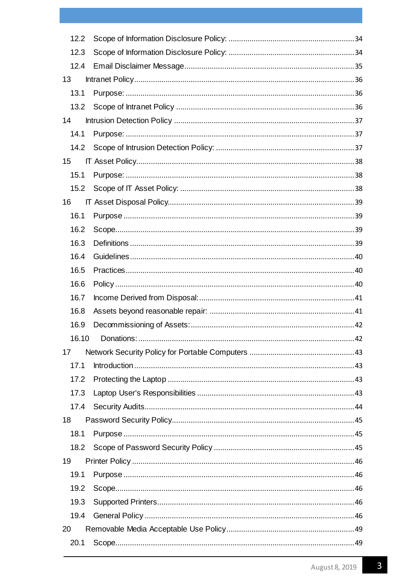| 12.2  |  |
|-------|--|
| 12.3  |  |
| 12.4  |  |
| 13    |  |
| 13.1  |  |
| 13.2  |  |
| 14    |  |
| 14.1  |  |
|       |  |
| 15    |  |
| 15.1  |  |
| 15.2  |  |
| 16    |  |
| 16.1  |  |
| 16.2  |  |
| 16.3  |  |
| 16.4  |  |
| 16.5  |  |
| 16.6  |  |
| 16.7  |  |
| 16.8  |  |
| 16.9  |  |
| 16.10 |  |
| 17    |  |
| 17.1  |  |
|       |  |
| 17.2  |  |
| 17.3  |  |
| 17.4  |  |
| 18    |  |
| 18.1  |  |
| 18.2  |  |
| 19    |  |
| 19.1  |  |
| 19.2  |  |
| 19.3  |  |
| 19.4  |  |
| 20    |  |

 $\overline{3}$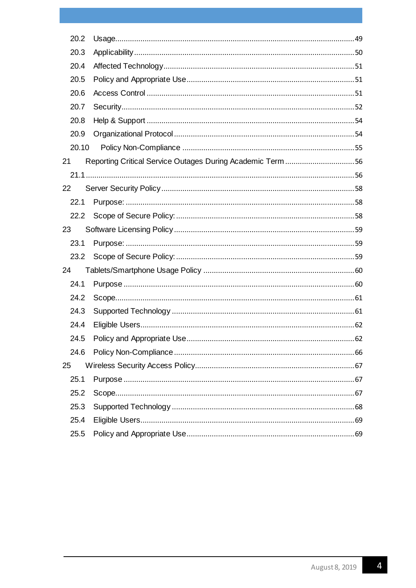| 20.2  |                                                            |
|-------|------------------------------------------------------------|
| 20.3  |                                                            |
| 20.4  |                                                            |
| 20.5  |                                                            |
| 20.6  |                                                            |
| 20.7  |                                                            |
| 20.8  |                                                            |
| 20.9  |                                                            |
| 20.10 |                                                            |
| 21    | Reporting Critical Service Outages During Academic Term 56 |
|       |                                                            |
| 22    |                                                            |
| 22.1  |                                                            |
| 22.2  |                                                            |
| 23    |                                                            |
| 23.1  |                                                            |
| 23.2  |                                                            |
| 24    |                                                            |
| 24.1  |                                                            |
| 24.2  |                                                            |
| 24.3  |                                                            |
| 24.4  |                                                            |
| 24.5  |                                                            |
| 24.6  |                                                            |
| 25    |                                                            |
| 25.1  |                                                            |
| 25.2  |                                                            |
| 25.3  |                                                            |
| 25.4  |                                                            |
| 25.5  |                                                            |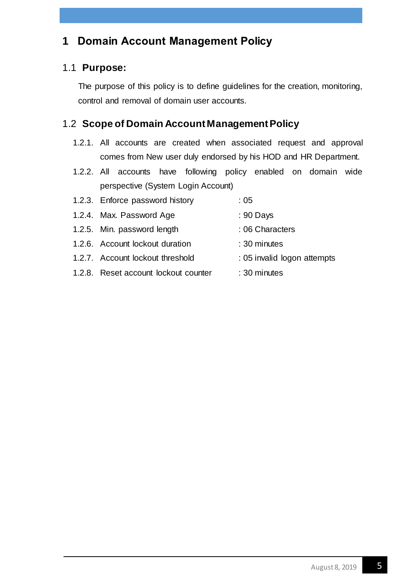# <span id="page-5-0"></span>**1 Domain Account Management Policy**

#### <span id="page-5-1"></span>1.1 **Purpose:**

The purpose of this policy is to define guidelines for the creation, monitoring, control and removal of domain user accounts.

## <span id="page-5-2"></span>1.2 **Scope of Domain Account Management Policy**

- 1.2.1. All accounts are created when associated request and approval comes from New user duly endorsed by his HOD and HR Department.
- 1.2.2. All accounts have following policy enabled on domain wide perspective (System Login Account)
- 1.2.3. Enforce password history : 05
- 1.2.4. Max. Password Age : 90 Days
- 1.2.5. Min. password length : 06 Characters
- 1.2.6. Account lockout duration : 30 minutes
- 1.2.7. Account lockout threshold : 05 invalid logon attempts
- 1.2.8. Reset account lockout counter : 30 minutes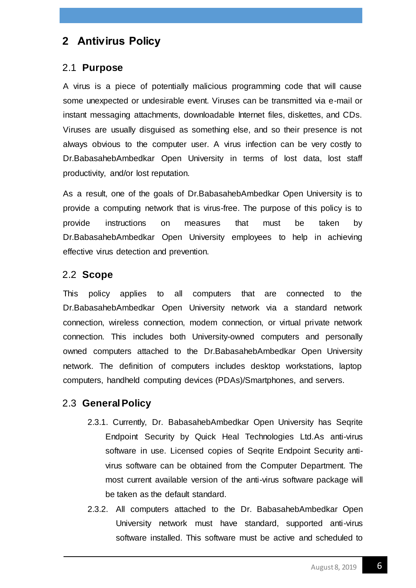# <span id="page-6-0"></span>**2 Antivirus Policy**

#### <span id="page-6-1"></span>2.1 **Purpose**

A virus is a piece of potentially malicious programming code that will cause some unexpected or undesirable event. Viruses can be transmitted via e-mail or instant messaging attachments, downloadable Internet files, diskettes, and CDs. Viruses are usually disguised as something else, and so their presence is not always obvious to the computer user. A virus infection can be very costly to Dr.BabasahebAmbedkar Open University in terms of lost data, lost staff productivity, and/or lost reputation.

As a result, one of the goals of Dr.BabasahebAmbedkar Open University is to provide a computing network that is virus-free. The purpose of this policy is to provide instructions on measures that must be taken by Dr.BabasahebAmbedkar Open University employees to help in achieving effective virus detection and prevention.

#### <span id="page-6-2"></span>2.2 **Scope**

This policy applies to all computers that are connected to the Dr.BabasahebAmbedkar Open University network via a standard network connection, wireless connection, modem connection, or virtual private network connection. This includes both University-owned computers and personally owned computers attached to the Dr.BabasahebAmbedkar Open University network. The definition of computers includes desktop workstations, laptop computers, handheld computing devices (PDAs)/Smartphones, and servers.

#### <span id="page-6-3"></span>2.3 **General Policy**

- 2.3.1. Currently, Dr. BabasahebAmbedkar Open University has Seqrite Endpoint Security by Quick Heal Technologies Ltd.As anti-virus software in use. Licensed copies of Seqrite Endpoint Security antivirus software can be obtained from the Computer Department. The most current available version of the anti-virus software package will be taken as the default standard.
- 2.3.2. All computers attached to the Dr. BabasahebAmbedkar Open University network must have standard, supported anti-virus software installed. This software must be active and scheduled to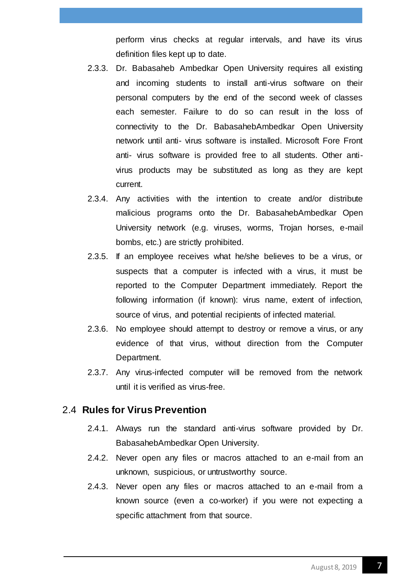perform virus checks at regular intervals, and have its virus definition files kept up to date.

- 2.3.3. Dr. Babasaheb Ambedkar Open University requires all existing and incoming students to install anti-virus software on their personal computers by the end of the second week of classes each semester. Failure to do so can result in the loss of connectivity to the Dr. BabasahebAmbedkar Open University network until anti- virus software is installed. Microsoft Fore Front anti- virus software is provided free to all students. Other antivirus products may be substituted as long as they are kept current.
- 2.3.4. Any activities with the intention to create and/or distribute malicious programs onto the Dr. BabasahebAmbedkar Open University network (e.g. viruses, worms, Trojan horses, e-mail bombs, etc.) are strictly prohibited.
- 2.3.5. If an employee receives what he/she believes to be a virus, or suspects that a computer is infected with a virus, it must be reported to the Computer Department immediately. Report the following information (if known): virus name, extent of infection, source of virus, and potential recipients of infected material.
- 2.3.6. No employee should attempt to destroy or remove a virus, or any evidence of that virus, without direction from the Computer Department.
- 2.3.7. Any virus-infected computer will be removed from the network until it is verified as virus-free.

#### <span id="page-7-0"></span>2.4 **Rules for Virus Prevention**

- 2.4.1. Always run the standard anti-virus software provided by Dr. BabasahebAmbedkar Open University.
- 2.4.2. Never open any files or macros attached to an e-mail from an unknown, suspicious, or untrustworthy source.
- 2.4.3. Never open any files or macros attached to an e-mail from a known source (even a co-worker) if you were not expecting a specific attachment from that source.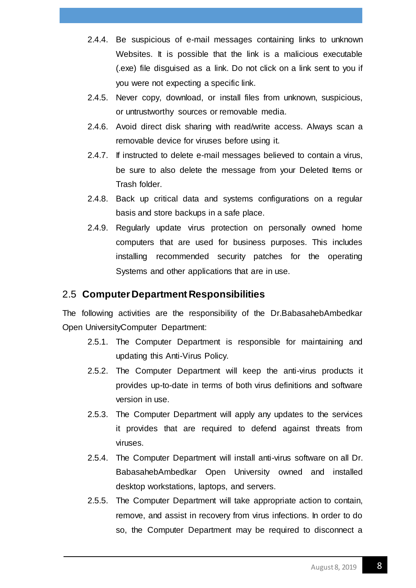- 2.4.4. Be suspicious of e-mail messages containing links to unknown Websites. It is possible that the link is a malicious executable (.exe) file disguised as a link. Do not click on a link sent to you if you were not expecting a specific link.
- 2.4.5. Never copy, download, or install files from unknown, suspicious, or untrustworthy sources or removable media.
- 2.4.6. Avoid direct disk sharing with read/write access. Always scan a removable device for viruses before using it.
- 2.4.7. If instructed to delete e-mail messages believed to contain a virus, be sure to also delete the message from your Deleted Items or Trash folder.
- 2.4.8. Back up critical data and systems configurations on a regular basis and store backups in a safe place.
- 2.4.9. Regularly update virus protection on personally owned home computers that are used for business purposes. This includes installing recommended security patches for the operating Systems and other applications that are in use.

#### <span id="page-8-0"></span>2.5 **Computer Department Responsibilities**

The following activities are the responsibility of the Dr.BabasahebAmbedkar Open UniversityComputer Department:

- 2.5.1. The Computer Department is responsible for maintaining and updating this Anti-Virus Policy.
- 2.5.2. The Computer Department will keep the anti-virus products it provides up-to-date in terms of both virus definitions and software version in use.
- 2.5.3. The Computer Department will apply any updates to the services it provides that are required to defend against threats from viruses.
- 2.5.4. The Computer Department will install anti-virus software on all Dr. BabasahebAmbedkar Open University owned and installed desktop workstations, laptops, and servers.
- 2.5.5. The Computer Department will take appropriate action to contain, remove, and assist in recovery from virus infections. In order to do so, the Computer Department may be required to disconnect a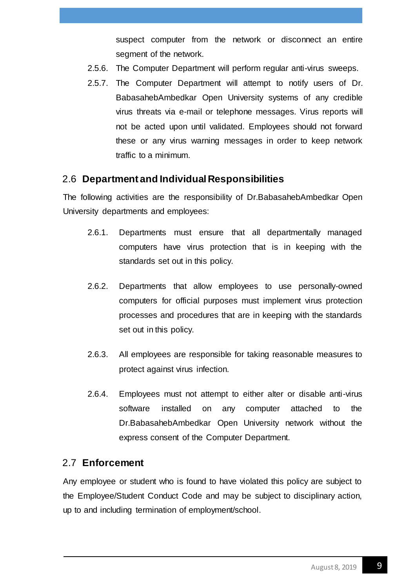suspect computer from the network or disconnect an entire segment of the network.

- 2.5.6. The Computer Department will perform regular anti-virus sweeps.
- 2.5.7. The Computer Department will attempt to notify users of Dr. BabasahebAmbedkar Open University systems of any credible virus threats via e-mail or telephone messages. Virus reports will not be acted upon until validated. Employees should not forward these or any virus warning messages in order to keep network traffic to a minimum.

#### <span id="page-9-0"></span>2.6 **Department and Individual Responsibilities**

The following activities are the responsibility of Dr.BabasahebAmbedkar Open University departments and employees:

- 2.6.1. Departments must ensure that all departmentally managed computers have virus protection that is in keeping with the standards set out in this policy.
- 2.6.2. Departments that allow employees to use personally-owned computers for official purposes must implement virus protection processes and procedures that are in keeping with the standards set out in this policy.
- 2.6.3. All employees are responsible for taking reasonable measures to protect against virus infection.
- 2.6.4. Employees must not attempt to either alter or disable anti-virus software installed on any computer attached to the Dr.BabasahebAmbedkar Open University network without the express consent of the Computer Department.

#### <span id="page-9-1"></span>2.7 **Enforcement**

Any employee or student who is found to have violated this policy are subject to the Employee/Student Conduct Code and may be subject to disciplinary action, up to and including termination of employment/school.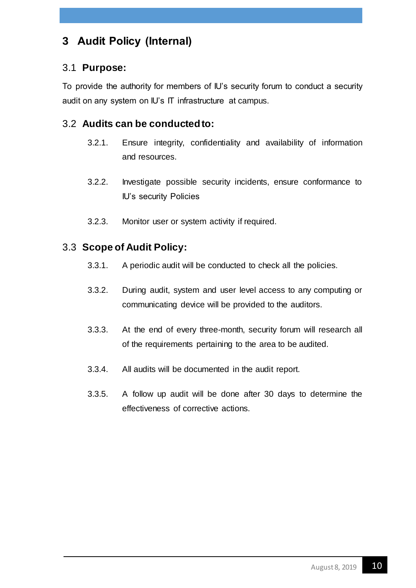# <span id="page-10-0"></span>**3 Audit Policy (Internal)**

#### <span id="page-10-1"></span>3.1 **Purpose:**

To provide the authority for members of IU's security forum to conduct a security audit on any system on IU's IT infrastructure at campus.

#### <span id="page-10-2"></span>3.2 **Audits can be conducted to:**

- 3.2.1. Ensure integrity, confidentiality and availability of information and resources.
- 3.2.2. Investigate possible security incidents, ensure conformance to IU's security Policies
- 3.2.3. Monitor user or system activity if required.

# <span id="page-10-3"></span>3.3 **Scope of Audit Policy:**

- 3.3.1. A periodic audit will be conducted to check all the policies.
- 3.3.2. During audit, system and user level access to any computing or communicating device will be provided to the auditors.
- 3.3.3. At the end of every three-month, security forum will research all of the requirements pertaining to the area to be audited.
- 3.3.4. All audits will be documented in the audit report.
- 3.3.5. A follow up audit will be done after 30 days to determine the effectiveness of corrective actions.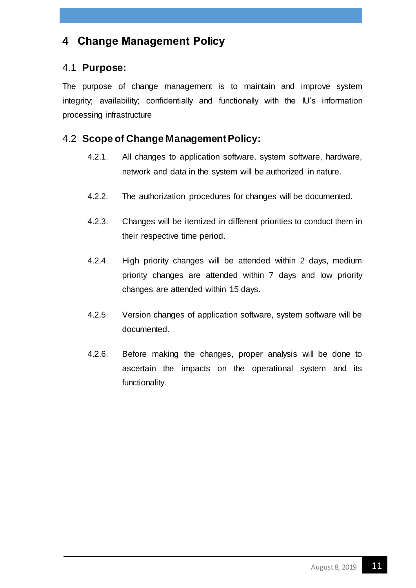# <span id="page-11-0"></span>**4 Change Management Policy**

#### <span id="page-11-1"></span>4.1 **Purpose:**

The purpose of change management is to maintain and improve system integrity; availability; confidentially and functionally with the IU's information processing infrastructure

#### <span id="page-11-2"></span>4.2 **Scope of Change Management Policy:**

- 4.2.1. All changes to application software, system software, hardware, network and data in the system will be authorized in nature.
- 4.2.2. The authorization procedures for changes will be documented.
- 4.2.3. Changes will be itemized in different priorities to conduct them in their respective time period.
- 4.2.4. High priority changes will be attended within 2 days, medium priority changes are attended within 7 days and low priority changes are attended within 15 days.
- 4.2.5. Version changes of application software, system software will be documented.
- 4.2.6. Before making the changes, proper analysis will be done to ascertain the impacts on the operational system and its functionality.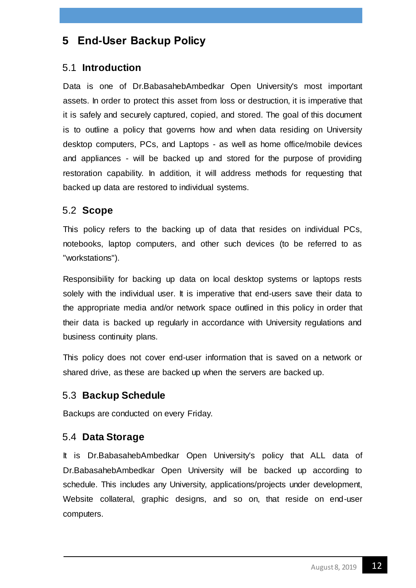# <span id="page-12-0"></span>**5 End-User Backup Policy**

#### <span id="page-12-1"></span>5.1 **Introduction**

Data is one of Dr.BabasahebAmbedkar Open University's most important assets. In order to protect this asset from loss or destruction, it is imperative that it is safely and securely captured, copied, and stored. The goal of this document is to outline a policy that governs how and when data residing on University desktop computers, PCs, and Laptops - as well as home office/mobile devices and appliances - will be backed up and stored for the purpose of providing restoration capability. In addition, it will address methods for requesting that backed up data are restored to individual systems.

#### <span id="page-12-2"></span>5.2 **Scope**

This policy refers to the backing up of data that resides on individual PCs, notebooks, laptop computers, and other such devices (to be referred to as "workstations").

Responsibility for backing up data on local desktop systems or laptops rests solely with the individual user. It is imperative that end-users save their data to the appropriate media and/or network space outlined in this policy in order that their data is backed up regularly in accordance with University regulations and business continuity plans.

This policy does not cover end-user information that is saved on a network or shared drive, as these are backed up when the servers are backed up.

## <span id="page-12-3"></span>5.3 **Backup Schedule**

Backups are conducted on every Friday.

#### <span id="page-12-4"></span>5.4 **Data Storage**

It is Dr.BabasahebAmbedkar Open University's policy that ALL data of Dr.BabasahebAmbedkar Open University will be backed up according to schedule. This includes any University, applications/projects under development, Website collateral, graphic designs, and so on, that reside on end-user computers.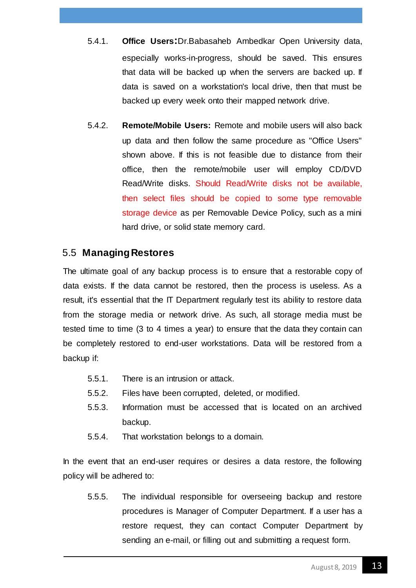- 5.4.1. **Office Users:**Dr.Babasaheb Ambedkar Open University data, especially works-in-progress, should be saved. This ensures that data will be backed up when the servers are backed up. If data is saved on a workstation's local drive, then that must be backed up every week onto their mapped network drive.
- 5.4.2. **Remote/Mobile Users:** Remote and mobile users will also back up data and then follow the same procedure as "Office Users" shown above. If this is not feasible due to distance from their office, then the remote/mobile user will employ CD/DVD Read/Write disks. Should Read/Write disks not be available, then select files should be copied to some type removable storage device as per Removable Device Policy, such as a mini hard drive, or solid state memory card.

#### <span id="page-13-0"></span>5.5 **Managing Restores**

The ultimate goal of any backup process is to ensure that a restorable copy of data exists. If the data cannot be restored, then the process is useless. As a result, it's essential that the IT Department regularly test its ability to restore data from the storage media or network drive. As such, all storage media must be tested time to time (3 to 4 times a year) to ensure that the data they contain can be completely restored to end-user workstations. Data will be restored from a backup if:

- 5.5.1. There is an intrusion or attack.
- 5.5.2. Files have been corrupted, deleted, or modified.
- 5.5.3. Information must be accessed that is located on an archived backup.
- 5.5.4. That workstation belongs to a domain.

In the event that an end-user requires or desires a data restore, the following policy will be adhered to:

5.5.5. The individual responsible for overseeing backup and restore procedures is Manager of Computer Department. If a user has a restore request, they can contact Computer Department by sending an e-mail, or filling out and submitting a request form.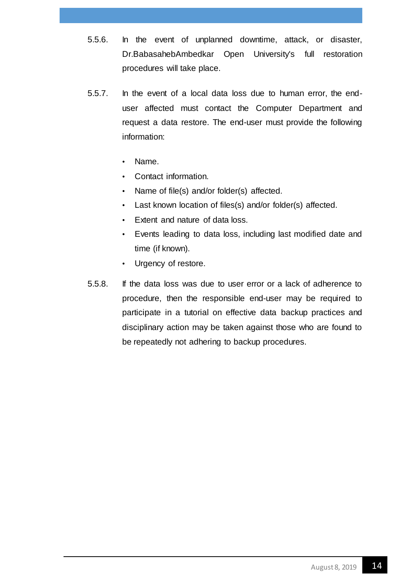- 5.5.6. In the event of unplanned downtime, attack, or disaster, Dr.BabasahebAmbedkar Open University's full restoration procedures will take place.
- 5.5.7. In the event of a local data loss due to human error, the enduser affected must contact the Computer Department and request a data restore. The end-user must provide the following information:
	- Name.
	- Contact information.
	- Name of file(s) and/or folder(s) affected.
	- Last known location of files(s) and/or folder(s) affected.
	- Extent and nature of data loss.
	- Events leading to data loss, including last modified date and time (if known).
	- Urgency of restore.
- 5.5.8. If the data loss was due to user error or a lack of adherence to procedure, then the responsible end-user may be required to participate in a tutorial on effective data backup practices and disciplinary action may be taken against those who are found to be repeatedly not adhering to backup procedures.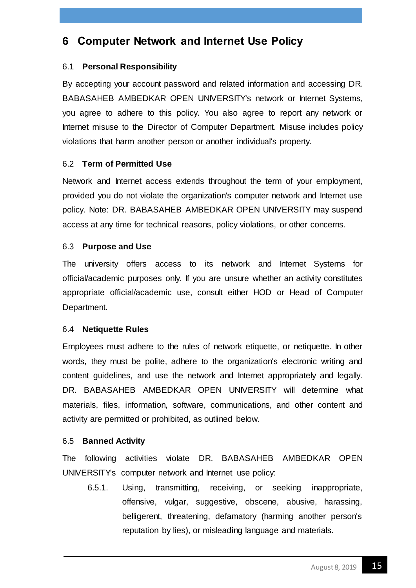# <span id="page-15-0"></span>**6 Computer Network and Internet Use Policy**

#### <span id="page-15-1"></span>6.1 **Personal Responsibility**

By accepting your account password and related information and accessing DR. BABASAHEB AMBEDKAR OPEN UNIVERSITY's network or Internet Systems, you agree to adhere to this policy. You also agree to report any network or Internet misuse to the Director of Computer Department. Misuse includes policy violations that harm another person or another individual's property.

#### <span id="page-15-2"></span>6.2 **Term of Permitted Use**

Network and Internet access extends throughout the term of your employment, provided you do not violate the organization's computer network and Internet use policy. Note: DR. BABASAHEB AMBEDKAR OPEN UNIVERSITY may suspend access at any time for technical reasons, policy violations, or other concerns.

#### <span id="page-15-3"></span>6.3 **Purpose and Use**

The university offers access to its network and Internet Systems for official/academic purposes only. If you are unsure whether an activity constitutes appropriate official/academic use, consult either HOD or Head of Computer Department.

#### <span id="page-15-4"></span>6.4 **Netiquette Rules**

Employees must adhere to the rules of network etiquette, or netiquette. In other words, they must be polite, adhere to the organization's electronic writing and content guidelines, and use the network and Internet appropriately and legally. DR. BABASAHEB AMBEDKAR OPEN UNIVERSITY will determine what materials, files, information, software, communications, and other content and activity are permitted or prohibited, as outlined below.

#### <span id="page-15-5"></span>6.5 **Banned Activity**

The following activities violate DR. BABASAHEB AMBEDKAR OPEN UNIVERSITY's computer network and Internet use policy:

6.5.1. Using, transmitting, receiving, or seeking inappropriate, offensive, vulgar, suggestive, obscene, abusive, harassing, belligerent, threatening, defamatory (harming another person's reputation by lies), or misleading language and materials.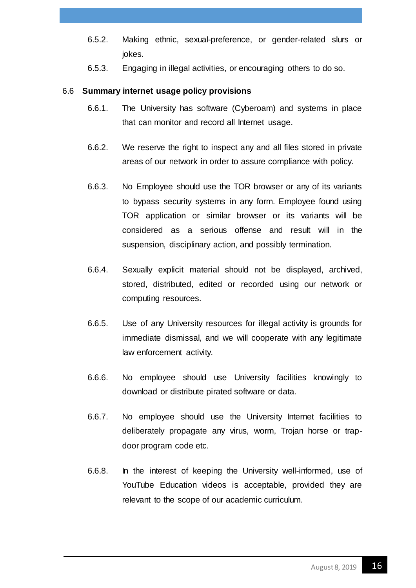- 6.5.2. Making ethnic, sexual-preference, or gender-related slurs or jokes.
- 6.5.3. Engaging in illegal activities, or encouraging others to do so.

#### <span id="page-16-0"></span>6.6 **Summary internet usage policy provisions**

- 6.6.1. The University has software (Cyberoam) and systems in place that can monitor and record all Internet usage.
- 6.6.2. We reserve the right to inspect any and all files stored in private areas of our network in order to assure compliance with policy.
- 6.6.3. No Employee should use the TOR browser or any of its variants to bypass security systems in any form. Employee found using TOR application or similar browser or its variants will be considered as a serious offense and result will in the suspension, disciplinary action, and possibly termination.
- 6.6.4. Sexually explicit material should not be displayed, archived, stored, distributed, edited or recorded using our network or computing resources.
- 6.6.5. Use of any University resources for illegal activity is grounds for immediate dismissal, and we will cooperate with any legitimate law enforcement activity.
- 6.6.6. No employee should use University facilities knowingly to download or distribute pirated software or data.
- 6.6.7. No employee should use the University Internet facilities to deliberately propagate any virus, worm, Trojan horse or trapdoor program code etc.
- 6.6.8. In the interest of keeping the University well-informed, use of YouTube Education videos is acceptable, provided they are relevant to the scope of our academic curriculum.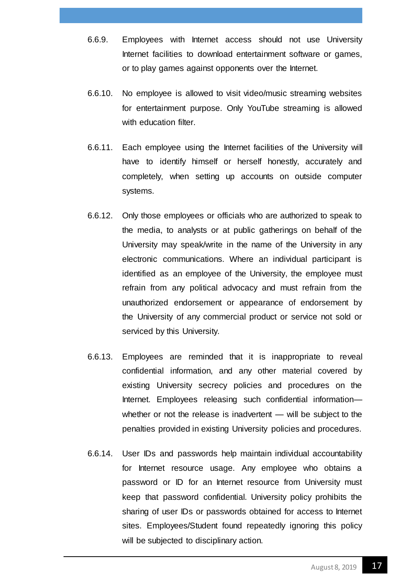- 6.6.9. Employees with Internet access should not use University Internet facilities to download entertainment software or games, or to play games against opponents over the Internet.
- 6.6.10. No employee is allowed to visit video/music streaming websites for entertainment purpose. Only YouTube streaming is allowed with education filter.
- 6.6.11. Each employee using the Internet facilities of the University will have to identify himself or herself honestly, accurately and completely, when setting up accounts on outside computer systems.
- 6.6.12. Only those employees or officials who are authorized to speak to the media, to analysts or at public gatherings on behalf of the University may speak/write in the name of the University in any electronic communications. Where an individual participant is identified as an employee of the University, the employee must refrain from any political advocacy and must refrain from the unauthorized endorsement or appearance of endorsement by the University of any commercial product or service not sold or serviced by this University.
- 6.6.13. Employees are reminded that it is inappropriate to reveal confidential information, and any other material covered by existing University secrecy policies and procedures on the Internet. Employees releasing such confidential information whether or not the release is inadvertent — will be subject to the penalties provided in existing University policies and procedures.
- 6.6.14. User IDs and passwords help maintain individual accountability for Internet resource usage. Any employee who obtains a password or ID for an Internet resource from University must keep that password confidential. University policy prohibits the sharing of user IDs or passwords obtained for access to Internet sites. Employees/Student found repeatedly ignoring this policy will be subjected to disciplinary action.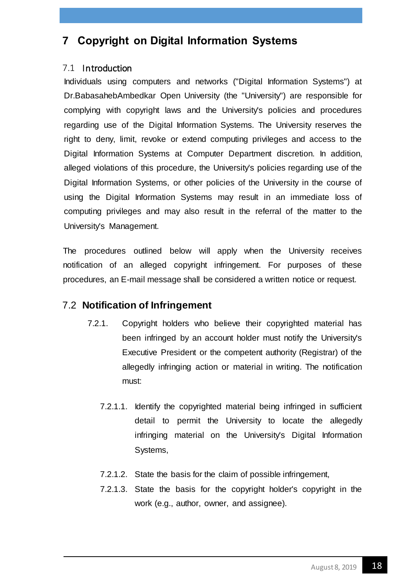# <span id="page-18-0"></span>**7 Copyright on Digital Information Systems**

#### <span id="page-18-1"></span>7.1 Introduction

Individuals using computers and networks ("Digital Information Systems") at Dr.BabasahebAmbedkar Open University (the "University") are responsible for complying with copyright laws and the University's policies and procedures regarding use of the Digital Information Systems. The University reserves the right to deny, limit, revoke or extend computing privileges and access to the Digital Information Systems at Computer Department discretion. In addition, alleged violations of this procedure, the University's policies regarding use of the Digital Information Systems, or other policies of the University in the course of using the Digital Information Systems may result in an immediate loss of computing privileges and may also result in the referral of the matter to the University's Management.

The procedures outlined below will apply when the University receives notification of an alleged copyright infringement. For purposes of these procedures, an E-mail message shall be considered a written notice or request.

## <span id="page-18-2"></span>7.2 **Notification of Infringement**

- 7.2.1. Copyright holders who believe their copyrighted material has been infringed by an account holder must notify the University's Executive President or the competent authority (Registrar) of the allegedly infringing action or material in writing. The notification must:
	- 7.2.1.1. Identify the copyrighted material being infringed in sufficient detail to permit the University to locate the allegedly infringing material on the University's Digital Information Systems,
	- 7.2.1.2. State the basis for the claim of possible infringement,
	- 7.2.1.3. State the basis for the copyright holder's copyright in the work (e.g., author, owner, and assignee).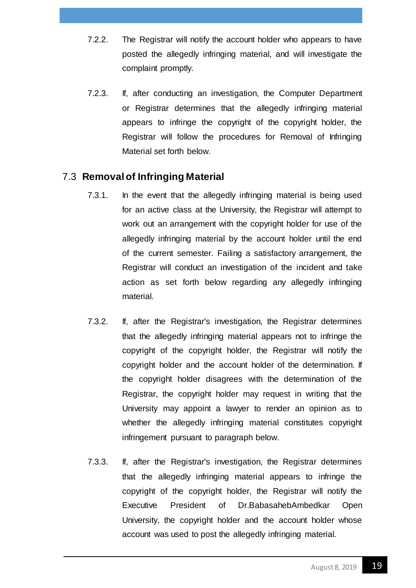- 7.2.2. The Registrar will notify the account holder who appears to have posted the allegedly infringing material, and will investigate the complaint promptly.
- 7.2.3. If, after conducting an investigation, the Computer Department or Registrar determines that the allegedly infringing material appears to infringe the copyright of the copyright holder, the Registrar will follow the procedures for Removal of Infringing Material set forth below.

## <span id="page-19-0"></span>7.3 **Removal of Infringing Material**

- 7.3.1. In the event that the allegedly infringing material is being used for an active class at the University, the Registrar will attempt to work out an arrangement with the copyright holder for use of the allegedly infringing material by the account holder until the end of the current semester. Failing a satisfactory arrangement, the Registrar will conduct an investigation of the incident and take action as set forth below regarding any allegedly infringing material.
- 7.3.2. If, after the Registrar's investigation, the Registrar determines that the allegedly infringing material appears not to infringe the copyright of the copyright holder, the Registrar will notify the copyright holder and the account holder of the determination. If the copyright holder disagrees with the determination of the Registrar, the copyright holder may request in writing that the University may appoint a lawyer to render an opinion as to whether the allegedly infringing material constitutes copyright infringement pursuant to paragraph below.
- 7.3.3. If, after the Registrar's investigation, the Registrar determines that the allegedly infringing material appears to infringe the copyright of the copyright holder, the Registrar will notify the Executive President of Dr.BabasahebAmbedkar Open University, the copyright holder and the account holder whose account was used to post the allegedly infringing material.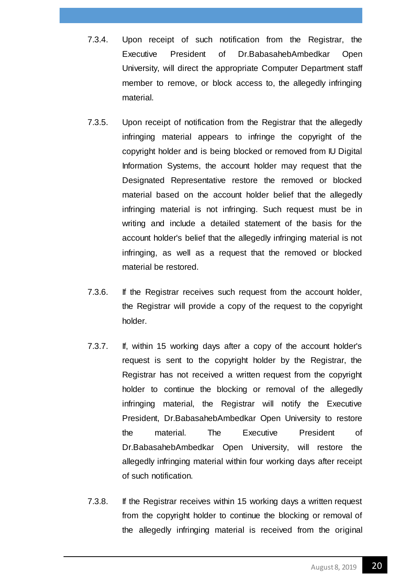- 7.3.4. Upon receipt of such notification from the Registrar, the Executive President of Dr.BabasahebAmbedkar Open University, will direct the appropriate Computer Department staff member to remove, or block access to, the allegedly infringing material.
- 7.3.5. Upon receipt of notification from the Registrar that the allegedly infringing material appears to infringe the copyright of the copyright holder and is being blocked or removed from IU Digital Information Systems, the account holder may request that the Designated Representative restore the removed or blocked material based on the account holder belief that the allegedly infringing material is not infringing. Such request must be in writing and include a detailed statement of the basis for the account holder's belief that the allegedly infringing material is not infringing, as well as a request that the removed or blocked material be restored.
- 7.3.6. If the Registrar receives such request from the account holder, the Registrar will provide a copy of the request to the copyright holder.
- 7.3.7. If, within 15 working days after a copy of the account holder's request is sent to the copyright holder by the Registrar, the Registrar has not received a written request from the copyright holder to continue the blocking or removal of the allegedly infringing material, the Registrar will notify the Executive President, Dr.BabasahebAmbedkar Open University to restore the material. The Executive President of Dr.BabasahebAmbedkar Open University, will restore the allegedly infringing material within four working days after receipt of such notification.
- 7.3.8. If the Registrar receives within 15 working days a written request from the copyright holder to continue the blocking or removal of the allegedly infringing material is received from the original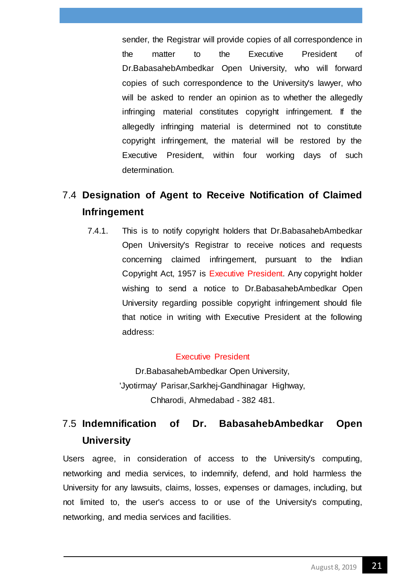sender, the Registrar will provide copies of all correspondence in the matter to the Executive President of Dr.BabasahebAmbedkar Open University, who will forward copies of such correspondence to the University's lawyer, who will be asked to render an opinion as to whether the allegedly infringing material constitutes copyright infringement. If the allegedly infringing material is determined not to constitute copyright infringement, the material will be restored by the Executive President, within four working days of such determination.

# <span id="page-21-0"></span>7.4 **Designation of Agent to Receive Notification of Claimed Infringement**

7.4.1. This is to notify copyright holders that Dr.BabasahebAmbedkar Open University's Registrar to receive notices and requests concerning claimed infringement, pursuant to the Indian Copyright Act, 1957 is Executive President. Any copyright holder wishing to send a notice to Dr.BabasahebAmbedkar Open University regarding possible copyright infringement should file that notice in writing with Executive President at the following address:

#### Executive President

Dr.BabasahebAmbedkar Open University, 'Jyotirmay' Parisar,Sarkhej-Gandhinagar Highway, Chharodi, Ahmedabad - 382 481.

# <span id="page-21-1"></span>7.5 **Indemnification of Dr. BabasahebAmbedkar Open University**

Users agree, in consideration of access to the University's computing, networking and media services, to indemnify, defend, and hold harmless the University for any lawsuits, claims, losses, expenses or damages, including, but not limited to, the user's access to or use of the University's computing, networking, and media services and facilities.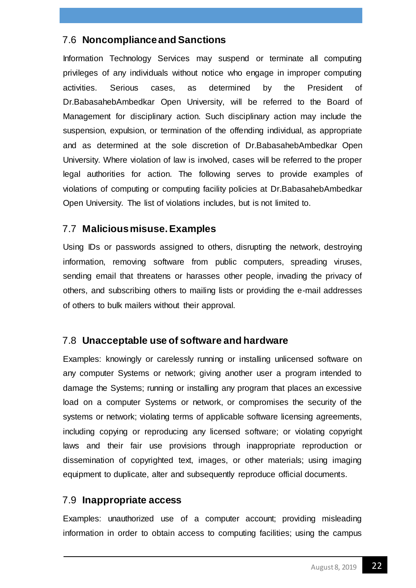## <span id="page-22-0"></span>7.6 **Noncompliance and Sanctions**

Information Technology Services may suspend or terminate all computing privileges of any individuals without notice who engage in improper computing activities. Serious cases, as determined by the President of Dr.BabasahebAmbedkar Open University, will be referred to the Board of Management for disciplinary action. Such disciplinary action may include the suspension, expulsion, or termination of the offending individual, as appropriate and as determined at the sole discretion of Dr.BabasahebAmbedkar Open University. Where violation of law is involved, cases will be referred to the proper legal authorities for action. The following serves to provide examples of violations of computing or computing facility policies at Dr.BabasahebAmbedkar Open University. The list of violations includes, but is not limited to.

## <span id="page-22-1"></span>7.7 **Malicious misuse. Examples**

Using IDs or passwords assigned to others, disrupting the network, destroying information, removing software from public computers, spreading viruses, sending email that threatens or harasses other people, invading the privacy of others, and subscribing others to mailing lists or providing the e-mail addresses of others to bulk mailers without their approval.

## <span id="page-22-2"></span>7.8 **Unacceptable use of software and hardware**

Examples: knowingly or carelessly running or installing unlicensed software on any computer Systems or network; giving another user a program intended to damage the Systems; running or installing any program that places an excessive load on a computer Systems or network, or compromises the security of the systems or network; violating terms of applicable software licensing agreements, including copying or reproducing any licensed software; or violating copyright laws and their fair use provisions through inappropriate reproduction or dissemination of copyrighted text, images, or other materials; using imaging equipment to duplicate, alter and subsequently reproduce official documents.

#### <span id="page-22-3"></span>7.9 **Inappropriate access**

Examples: unauthorized use of a computer account; providing misleading information in order to obtain access to computing facilities; using the campus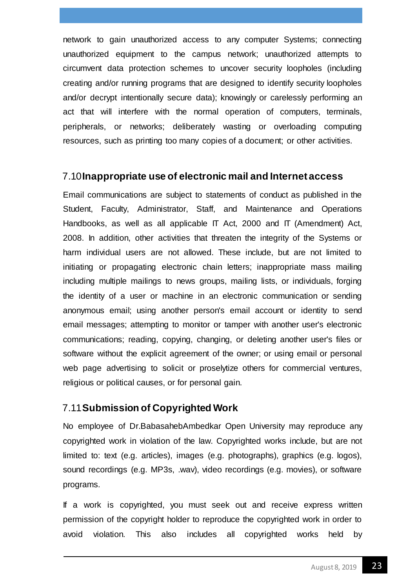network to gain unauthorized access to any computer Systems; connecting unauthorized equipment to the campus network; unauthorized attempts to circumvent data protection schemes to uncover security loopholes (including creating and/or running programs that are designed to identify security loopholes and/or decrypt intentionally secure data); knowingly or carelessly performing an act that will interfere with the normal operation of computers, terminals, peripherals, or networks; deliberately wasting or overloading computing resources, such as printing too many copies of a document; or other activities.

#### <span id="page-23-0"></span>7.10**Inappropriate use of electronic mail and Internet access**

Email communications are subject to statements of conduct as published in the Student, Faculty, Administrator, Staff, and Maintenance and Operations Handbooks, as well as all applicable IT Act, 2000 and IT (Amendment) Act, 2008. In addition, other activities that threaten the integrity of the Systems or harm individual users are not allowed. These include, but are not limited to initiating or propagating electronic chain letters; inappropriate mass mailing including multiple mailings to news groups, mailing lists, or individuals, forging the identity of a user or machine in an electronic communication or sending anonymous email; using another person's email account or identity to send email messages; attempting to monitor or tamper with another user's electronic communications; reading, copying, changing, or deleting another user's files or software without the explicit agreement of the owner; or using email or personal web page advertising to solicit or proselytize others for commercial ventures, religious or political causes, or for personal gain.

#### <span id="page-23-1"></span>7.11**Submission of Copyrighted Work**

No employee of Dr.BabasahebAmbedkar Open University may reproduce any copyrighted work in violation of the law. Copyrighted works include, but are not limited to: text (e.g. articles), images (e.g. photographs), graphics (e.g. logos), sound recordings (e.g. MP3s, .wav), video recordings (e.g. movies), or software programs.

If a work is copyrighted, you must seek out and receive express written permission of the copyright holder to reproduce the copyrighted work in order to avoid violation. This also includes all copyrighted works held by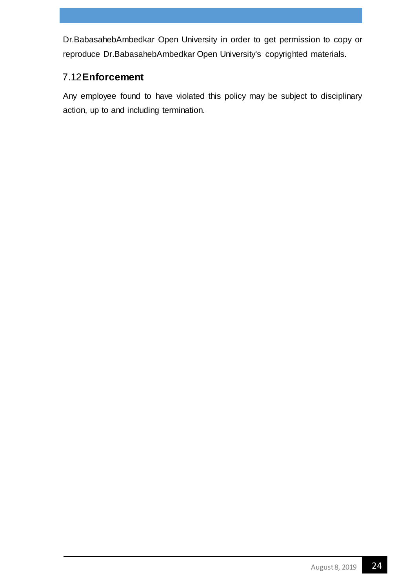Dr.BabasahebAmbedkar Open University in order to get permission to copy or reproduce Dr.BabasahebAmbedkar Open University's copyrighted materials.

## <span id="page-24-0"></span>7.12**Enforcement**

Any employee found to have violated this policy may be subject to disciplinary action, up to and including termination.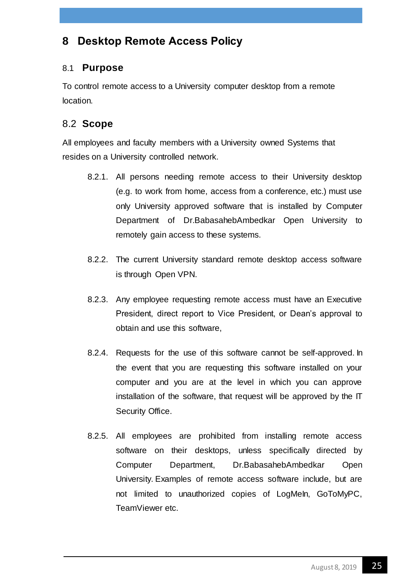# <span id="page-25-0"></span>**8 Desktop Remote Access Policy**

#### <span id="page-25-1"></span>8.1 **Purpose**

To control remote access to a University computer desktop from a remote location.

#### <span id="page-25-2"></span>8.2 **Scope**

All employees and faculty members with a University owned Systems that resides on a University controlled network.

- 8.2.1. All persons needing remote access to their University desktop (e.g. to work from home, access from a conference, etc.) must use only University approved software that is installed by Computer Department of Dr.BabasahebAmbedkar Open University to remotely gain access to these systems.
- 8.2.2. The current University standard remote desktop access software is through Open VPN.
- 8.2.3. Any employee requesting remote access must have an Executive President, direct report to Vice President, or Dean's approval to obtain and use this software,
- 8.2.4. Requests for the use of this software cannot be self-approved. In the event that you are requesting this software installed on your computer and you are at the level in which you can approve installation of the software, that request will be approved by the IT Security Office.
- 8.2.5. All employees are prohibited from installing remote access software on their desktops, unless specifically directed by Computer Department, Dr.BabasahebAmbedkar Open University. Examples of remote access software include, but are not limited to unauthorized copies of LogMeIn, GoToMyPC, TeamViewer etc.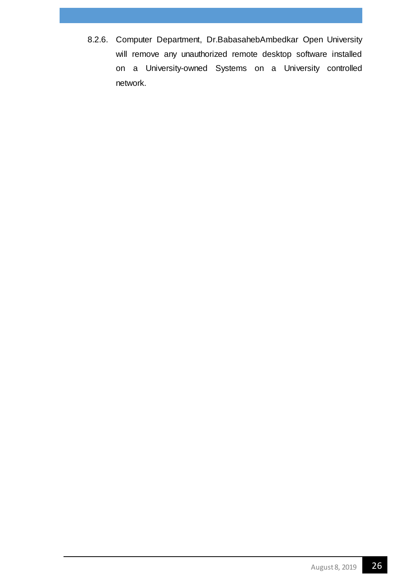8.2.6. Computer Department, Dr.BabasahebAmbedkar Open University will remove any unauthorized remote desktop software installed on a University-owned Systems on a University controlled network.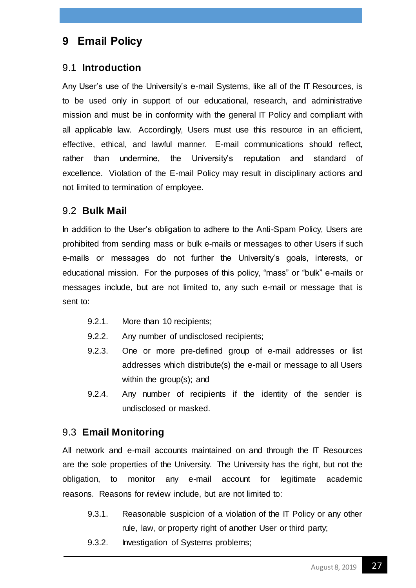## <span id="page-27-0"></span>**9 Email Policy**

#### <span id="page-27-1"></span>9.1 **Introduction**

Any User's use of the University's e-mail Systems, like all of the IT Resources, is to be used only in support of our educational, research, and administrative mission and must be in conformity with the general IT Policy and compliant with all applicable law. Accordingly, Users must use this resource in an efficient, effective, ethical, and lawful manner. E-mail communications should reflect, rather than undermine, the University's reputation and standard of excellence. Violation of the E-mail Policy may result in disciplinary actions and not limited to termination of employee.

#### <span id="page-27-2"></span>9.2 **Bulk Mail**

In addition to the User's obligation to adhere to the Anti-Spam Policy, Users are prohibited from sending mass or bulk e-mails or messages to other Users if such e-mails or messages do not further the University's goals, interests, or educational mission. For the purposes of this policy, "mass" or "bulk" e-mails or messages include, but are not limited to, any such e-mail or message that is sent to:

- 9.2.1. More than 10 recipients;
- 9.2.2. Any number of undisclosed recipients;
- 9.2.3. One or more pre-defined group of e-mail addresses or list addresses which distribute(s) the e-mail or message to all Users within the group(s); and
- 9.2.4. Any number of recipients if the identity of the sender is undisclosed or masked.

#### <span id="page-27-3"></span>9.3 **Email Monitoring**

All network and e-mail accounts maintained on and through the IT Resources are the sole properties of the University. The University has the right, but not the obligation, to monitor any e-mail account for legitimate academic reasons. Reasons for review include, but are not limited to:

- 9.3.1. Reasonable suspicion of a violation of the IT Policy or any other rule, law, or property right of another User or third party;
- 9.3.2. Investigation of Systems problems;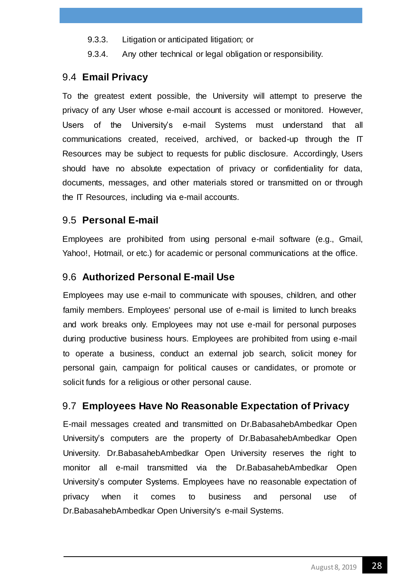- 9.3.3. Litigation or anticipated litigation; or
- 9.3.4. Any other technical or legal obligation or responsibility.

## <span id="page-28-0"></span>9.4 **Email Privacy**

To the greatest extent possible, the University will attempt to preserve the privacy of any User whose e-mail account is accessed or monitored. However, Users of the University's e-mail Systems must understand that all communications created, received, archived, or backed-up through the IT Resources may be subject to requests for public disclosure. Accordingly, Users should have no absolute expectation of privacy or confidentiality for data, documents, messages, and other materials stored or transmitted on or through the IT Resources, including via e-mail accounts.

## <span id="page-28-1"></span>9.5 **Personal E-mail**

Employees are prohibited from using personal e-mail software (e.g., Gmail, Yahoo!, Hotmail, or etc.) for academic or personal communications at the office.

## <span id="page-28-2"></span>9.6 **Authorized Personal E-mail Use**

Employees may use e-mail to communicate with spouses, children, and other family members. Employees' personal use of e-mail is limited to lunch breaks and work breaks only. Employees may not use e-mail for personal purposes during productive business hours. Employees are prohibited from using e-mail to operate a business, conduct an external job search, solicit money for personal gain, campaign for political causes or candidates, or promote or solicit funds for a religious or other personal cause.

## <span id="page-28-3"></span>9.7 **Employees Have No Reasonable Expectation of Privacy**

E-mail messages created and transmitted on Dr.BabasahebAmbedkar Open University's computers are the property of Dr.BabasahebAmbedkar Open University. Dr.BabasahebAmbedkar Open University reserves the right to monitor all e-mail transmitted via the Dr.BabasahebAmbedkar Open University's computer Systems. Employees have no reasonable expectation of privacy when it comes to business and personal use of Dr.BabasahebAmbedkar Open University's e-mail Systems.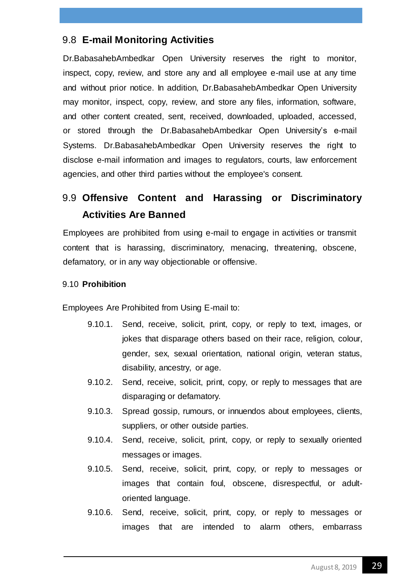## <span id="page-29-0"></span>9.8 **E-mail Monitoring Activities**

Dr.BabasahebAmbedkar Open University reserves the right to monitor, inspect, copy, review, and store any and all employee e-mail use at any time and without prior notice. In addition, Dr.BabasahebAmbedkar Open University may monitor, inspect, copy, review, and store any files, information, software, and other content created, sent, received, downloaded, uploaded, accessed, or stored through the Dr.BabasahebAmbedkar Open University's e-mail Systems. Dr.BabasahebAmbedkar Open University reserves the right to disclose e-mail information and images to regulators, courts, law enforcement agencies, and other third parties without the employee's consent.

# <span id="page-29-1"></span>9.9 **Offensive Content and Harassing or Discriminatory Activities Are Banned**

Employees are prohibited from using e-mail to engage in activities or transmit content that is harassing, discriminatory, menacing, threatening, obscene, defamatory, or in any way objectionable or offensive.

#### <span id="page-29-2"></span>9.10 **Prohibition**

<span id="page-29-3"></span>Employees Are Prohibited from Using E-mail to:

- 9.10.1. Send, receive, solicit, print, copy, or reply to text, images, or jokes that disparage others based on their race, religion, colour, gender, sex, sexual orientation, national origin, veteran status, disability, ancestry, or age.
- 9.10.2. Send, receive, solicit, print, copy, or reply to messages that are disparaging or defamatory.
- 9.10.3. Spread gossip, rumours, or innuendos about employees, clients, suppliers, or other outside parties.
- 9.10.4. Send, receive, solicit, print, copy, or reply to sexually oriented messages or images.
- 9.10.5. Send, receive, solicit, print, copy, or reply to messages or images that contain foul, obscene, disrespectful, or adultoriented language.
- 9.10.6. Send, receive, solicit, print, copy, or reply to messages or images that are intended to alarm others, embarrass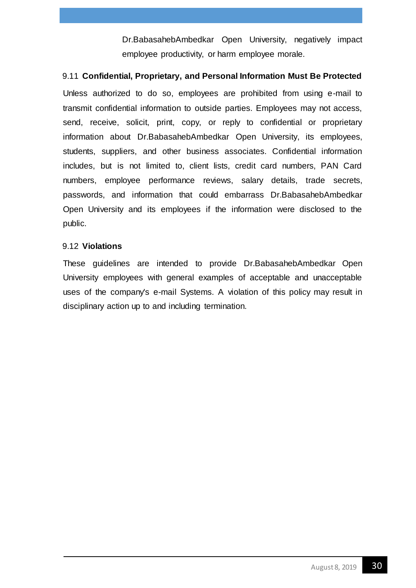Dr.BabasahebAmbedkar Open University, negatively impact employee productivity, or harm employee morale.

#### <span id="page-30-0"></span>9.11 **Confidential, Proprietary, and Personal Information Must Be Protected**

Unless authorized to do so, employees are prohibited from using e-mail to transmit confidential information to outside parties. Employees may not access, send, receive, solicit, print, copy, or reply to confidential or proprietary information about Dr.BabasahebAmbedkar Open University, its employees, students, suppliers, and other business associates. Confidential information includes, but is not limited to, client lists, credit card numbers, PAN Card numbers, employee performance reviews, salary details, trade secrets, passwords, and information that could embarrass Dr.BabasahebAmbedkar Open University and its employees if the information were disclosed to the public.

#### <span id="page-30-1"></span>9.12 **Violations**

These guidelines are intended to provide Dr.BabasahebAmbedkar Open University employees with general examples of acceptable and unacceptable uses of the company's e-mail Systems. A violation of this policy may result in disciplinary action up to and including termination.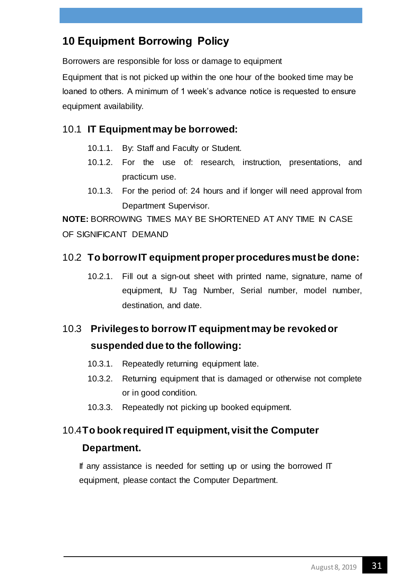# <span id="page-31-0"></span>**10 Equipment Borrowing Policy**

Borrowers are responsible for loss or damage to equipment

Equipment that is not picked up within the one hour of the booked time may be loaned to others. A minimum of 1 week's advance notice is requested to ensure equipment availability.

## <span id="page-31-1"></span>10.1 **IT Equipment may be borrowed:**

- 10.1.1. By: Staff and Faculty or Student.
- 10.1.2. For the use of: research, instruction, presentations, and practicum use.
- 10.1.3. For the period of: 24 hours and if longer will need approval from Department Supervisor.

**NOTE:** BORROWING TIMES MAY BE SHORTENED AT ANY TIME IN CASE OF SIGNIFICANT DEMAND

#### <span id="page-31-2"></span>10.2 **To borrow IT equipment proper procedures must be done:**

10.2.1. Fill out a sign-out sheet with printed name, signature, name of equipment, IU Tag Number, Serial number, model number, destination, and date.

# <span id="page-31-3"></span>10.3 **Privileges to borrow IT equipment may be revoked or suspended due to the following:**

- 10.3.1. Repeatedly returning equipment late.
- 10.3.2. Returning equipment that is damaged or otherwise not complete or in good condition.
- 10.3.3. Repeatedly not picking up booked equipment.

## <span id="page-31-4"></span>10.4**To book required IT equipment, visit the Computer**

#### **Department.**

If any assistance is needed for setting up or using the borrowed IT equipment, please contact the Computer Department.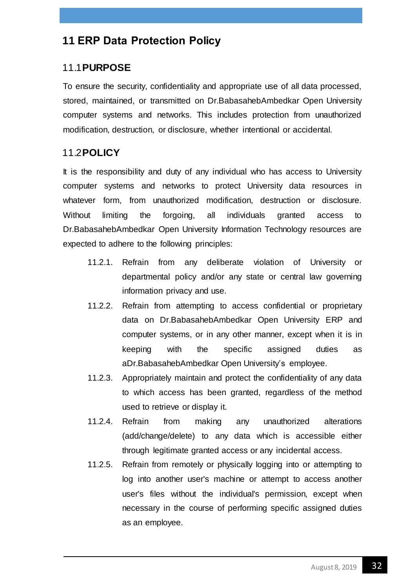# <span id="page-32-0"></span>**11 ERP Data Protection Policy**

## <span id="page-32-1"></span>11.1**PURPOSE**

To ensure the security, confidentiality and appropriate use of all data processed, stored, maintained, or transmitted on Dr.BabasahebAmbedkar Open University computer systems and networks. This includes protection from unauthorized modification, destruction, or disclosure, whether intentional or accidental.

## <span id="page-32-2"></span>11.2**POLICY**

It is the responsibility and duty of any individual who has access to University computer systems and networks to protect University data resources in whatever form, from unauthorized modification, destruction or disclosure. Without limiting the forgoing, all individuals granted access to Dr.BabasahebAmbedkar Open University Information Technology resources are expected to adhere to the following principles:

- 11.2.1. Refrain from any deliberate violation of University or departmental policy and/or any state or central law governing information privacy and use.
- 11.2.2. Refrain from attempting to access confidential or proprietary data on Dr.BabasahebAmbedkar Open University ERP and computer systems, or in any other manner, except when it is in keeping with the specific assigned duties as aDr.BabasahebAmbedkar Open University's employee.
- 11.2.3. Appropriately maintain and protect the confidentiality of any data to which access has been granted, regardless of the method used to retrieve or display it.
- 11.2.4. Refrain from making any unauthorized alterations (add/change/delete) to any data which is accessible either through legitimate granted access or any incidental access.
- 11.2.5. Refrain from remotely or physically logging into or attempting to log into another user's machine or attempt to access another user's files without the individual's permission, except when necessary in the course of performing specific assigned duties as an employee.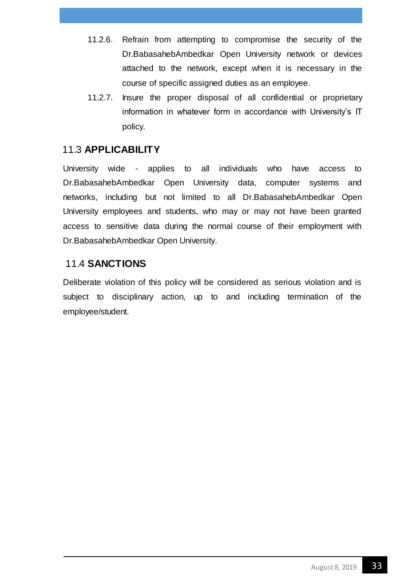- 11.2.6. Refrain from attempting to compromise the security of the Dr.BabasahebAmbedkar Open University network or devices attached to the network, except when it is necessary in the course of specific assigned duties as an employee.
- 11.2.7. Insure the proper disposal of all confidential or proprietary information in whatever form in accordance with University's IT policy.

## <span id="page-33-0"></span>11.3 **APPLICABILITY**

University wide - applies to all individuals who have access to Dr.BabasahebAmbedkar Open University data, computer systems and networks, including but not limited to all Dr.BabasahebAmbedkar Open University employees and students, who may or may not have been granted access to sensitive data during the normal course of their employment with Dr.BabasahebAmbedkar Open University.

## <span id="page-33-1"></span>11.4 **SANCTIONS**

Deliberate violation of this policy will be considered as serious violation and is subject to disciplinary action, up to and including termination of the employee/student.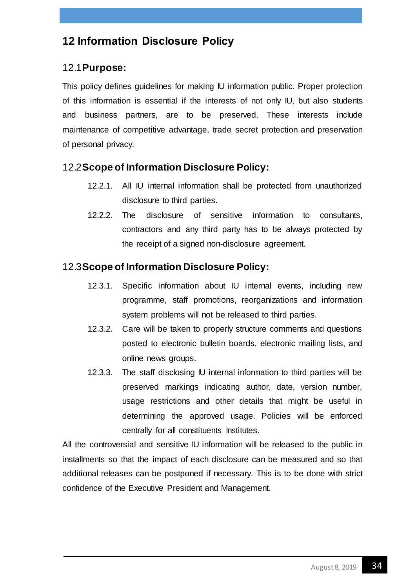# <span id="page-34-0"></span>**12 Information Disclosure Policy**

#### <span id="page-34-1"></span>12.1**Purpose:**

This policy defines guidelines for making IU information public. Proper protection of this information is essential if the interests of not only IU, but also students and business partners, are to be preserved. These interests include maintenance of competitive advantage, trade secret protection and preservation of personal privacy.

## <span id="page-34-2"></span>12.2**Scope of Information Disclosure Policy:**

- 12.2.1. All IU internal information shall be protected from unauthorized disclosure to third parties.
- 12.2.2. The disclosure of sensitive information to consultants, contractors and any third party has to be always protected by the receipt of a signed non-disclosure agreement.

## <span id="page-34-3"></span>12.3**Scope of Information Disclosure Policy:**

- 12.3.1. Specific information about IU internal events, including new programme, staff promotions, reorganizations and information system problems will not be released to third parties.
- 12.3.2. Care will be taken to properly structure comments and questions posted to electronic bulletin boards, electronic mailing lists, and online news groups.
- 12.3.3. The staff disclosing IU internal information to third parties will be preserved markings indicating author, date, version number, usage restrictions and other details that might be useful in determining the approved usage. Policies will be enforced centrally for all constituents Institutes.

All the controversial and sensitive IU information will be released to the public in installments so that the impact of each disclosure can be measured and so that additional releases can be postponed if necessary. This is to be done with strict confidence of the Executive President and Management.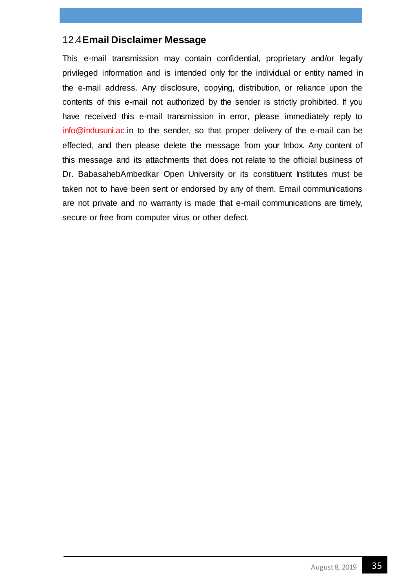## <span id="page-35-0"></span>12.4**Email Disclaimer Message**

This e-mail transmission may contain confidential, proprietary and/or legally privileged information and is intended only for the individual or entity named in the e-mail address. Any disclosure, copying, distribution, or reliance upon the contents of this e-mail not authorized by the sender is strictly prohibited. If you have received this e-mail transmission in error, please immediately reply to info@indusuni.ac.in to the sender, so that proper delivery of the e-mail can be effected, and then please delete the message from your Inbox. Any content of this message and its attachments that does not relate to the official business of Dr. BabasahebAmbedkar Open University or its constituent Institutes must be taken not to have been sent or endorsed by any of them. Email communications are not private and no warranty is made that e-mail communications are timely, secure or free from computer virus or other defect.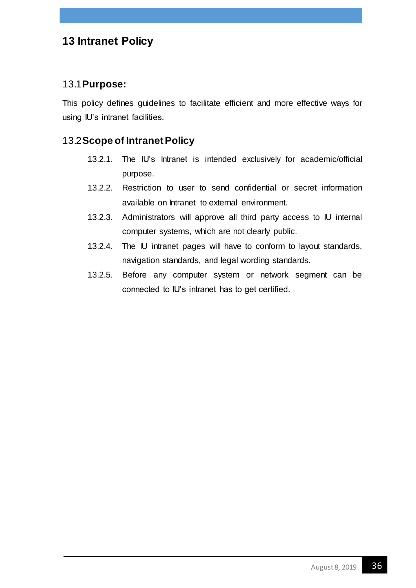# **13 Intranet Policy**

#### 13.1**Purpose:**

This policy defines guidelines to facilitate efficient and more effective ways for using IU's intranet facilities.

#### 13.2**Scope of Intranet Policy**

- 13.2.1. The IU's Intranet is intended exclusively for academic/official purpose.
- 13.2.2. Restriction to user to send confidential or secret information available on Intranet to external environment.
- 13.2.3. Administrators will approve all third party access to IU internal computer systems, which are not clearly public.
- 13.2.4. The IU intranet pages will have to conform to layout standards, navigation standards, and legal wording standards.
- 13.2.5. Before any computer system or network segment can be connected to IU's intranet has to get certified.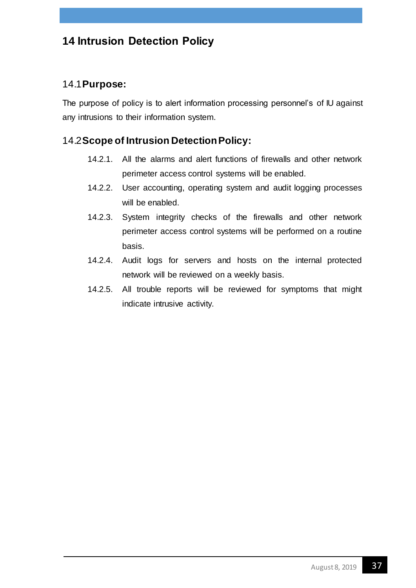# **14 Intrusion Detection Policy**

## 14.1**Purpose:**

The purpose of policy is to alert information processing personnel's of IU against any intrusions to their information system.

# 14.2**Scope of Intrusion Detection Policy:**

- 14.2.1. All the alarms and alert functions of firewalls and other network perimeter access control systems will be enabled.
- 14.2.2. User accounting, operating system and audit logging processes will be enabled.
- 14.2.3. System integrity checks of the firewalls and other network perimeter access control systems will be performed on a routine basis.
- 14.2.4. Audit logs for servers and hosts on the internal protected network will be reviewed on a weekly basis.
- 14.2.5. All trouble reports will be reviewed for symptoms that might indicate intrusive activity.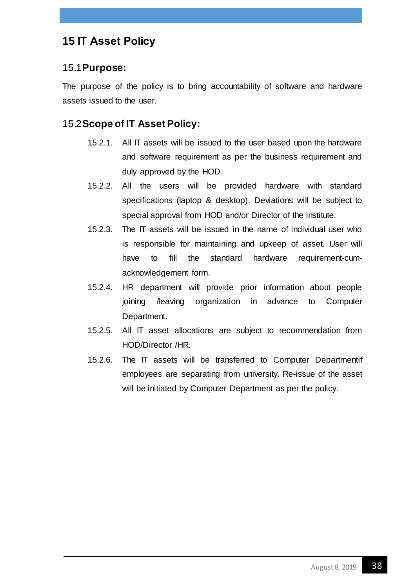# **15 IT Asset Policy**

## 15.1**Purpose:**

The purpose of the policy is to bring accountability of software and hardware assets issued to the user.

# 15.2**Scope of IT Asset Policy:**

- 15.2.1. All IT assets will be issued to the user based upon the hardware and software requirement as per the business requirement and duly approved by the HOD.
- 15.2.2. All the users will be provided hardware with standard specifications (laptop & desktop). Deviations will be subject to special approval from HOD and/or Director of the institute.
- 15.2.3. The IT assets will be issued in the name of individual user who is responsible for maintaining and upkeep of asset. User will have to fill the standard hardware requirement-cumacknowledgement form.
- 15.2.4. HR department will provide prior information about people joining /leaving organization in advance to Computer Department.
- 15.2.5. All IT asset allocations are subject to recommendation from HOD/Director /HR.
- 15.2.6. The IT assets will be transferred to Computer Departmentif employees are separating from university. Re-issue of the asset will be initiated by Computer Department as per the policy.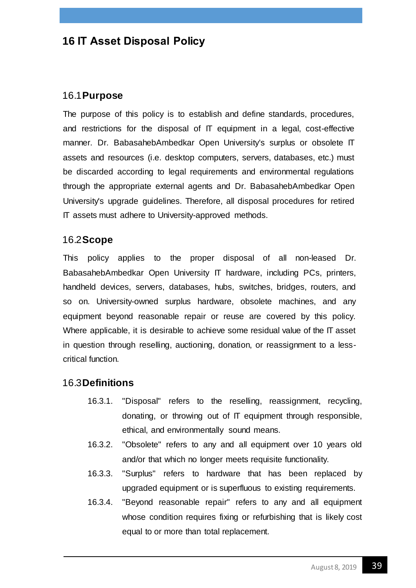# **16 IT Asset Disposal Policy**

#### 16.1**Purpose**

The purpose of this policy is to establish and define standards, procedures, and restrictions for the disposal of IT equipment in a legal, cost-effective manner. Dr. BabasahebAmbedkar Open University's surplus or obsolete IT assets and resources (i.e. desktop computers, servers, databases, etc.) must be discarded according to legal requirements and environmental regulations through the appropriate external agents and Dr. BabasahebAmbedkar Open University's upgrade guidelines. Therefore, all disposal procedures for retired IT assets must adhere to University-approved methods.

#### 16.2**Scope**

This policy applies to the proper disposal of all non-leased Dr. BabasahebAmbedkar Open University IT hardware, including PCs, printers, handheld devices, servers, databases, hubs, switches, bridges, routers, and so on. University-owned surplus hardware, obsolete machines, and any equipment beyond reasonable repair or reuse are covered by this policy. Where applicable, it is desirable to achieve some residual value of the IT asset in question through reselling, auctioning, donation, or reassignment to a lesscritical function.

#### 16.3**Definitions**

- 16.3.1. "Disposal" refers to the reselling, reassignment, recycling, donating, or throwing out of IT equipment through responsible, ethical, and environmentally sound means.
- 16.3.2. "Obsolete" refers to any and all equipment over 10 years old and/or that which no longer meets requisite functionality.
- 16.3.3. "Surplus" refers to hardware that has been replaced by upgraded equipment or is superfluous to existing requirements.
- 16.3.4. "Beyond reasonable repair" refers to any and all equipment whose condition requires fixing or refurbishing that is likely cost equal to or more than total replacement.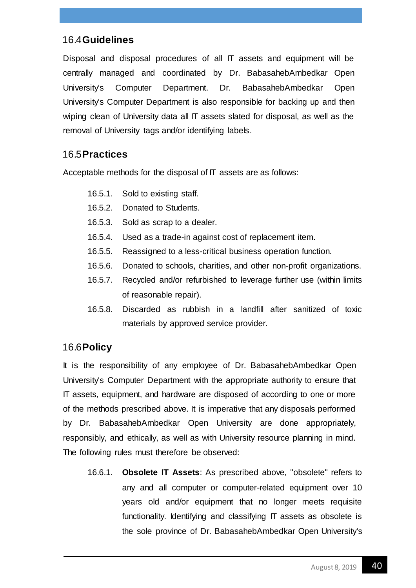# 16.4**Guidelines**

Disposal and disposal procedures of all IT assets and equipment will be centrally managed and coordinated by Dr. BabasahebAmbedkar Open University's Computer Department. Dr. BabasahebAmbedkar Open University's Computer Department is also responsible for backing up and then wiping clean of University data all IT assets slated for disposal, as well as the removal of University tags and/or identifying labels.

# 16.5**Practices**

Acceptable methods for the disposal of IT assets are as follows:

- 16.5.1. Sold to existing staff.
- 16.5.2. Donated to Students.
- 16.5.3. Sold as scrap to a dealer.
- 16.5.4. Used as a trade-in against cost of replacement item.
- 16.5.5. Reassigned to a less-critical business operation function.
- 16.5.6. Donated to schools, charities, and other non-profit organizations.
- 16.5.7. Recycled and/or refurbished to leverage further use (within limits of reasonable repair).
- 16.5.8. Discarded as rubbish in a landfill after sanitized of toxic materials by approved service provider.

# 16.6**Policy**

It is the responsibility of any employee of Dr. BabasahebAmbedkar Open University's Computer Department with the appropriate authority to ensure that IT assets, equipment, and hardware are disposed of according to one or more of the methods prescribed above. It is imperative that any disposals performed by Dr. BabasahebAmbedkar Open University are done appropriately, responsibly, and ethically, as well as with University resource planning in mind. The following rules must therefore be observed:

16.6.1. **Obsolete IT Assets**: As prescribed above, "obsolete" refers to any and all computer or computer-related equipment over 10 years old and/or equipment that no longer meets requisite functionality. Identifying and classifying IT assets as obsolete is the sole province of Dr. BabasahebAmbedkar Open University's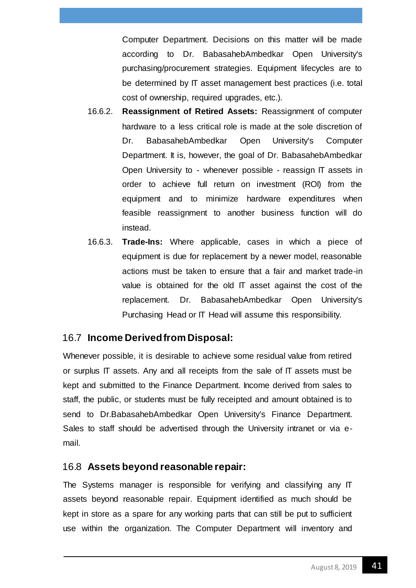Computer Department. Decisions on this matter will be made according to Dr. BabasahebAmbedkar Open University's purchasing/procurement strategies. Equipment lifecycles are to be determined by IT asset management best practices (i.e. total cost of ownership, required upgrades, etc.).

- 16.6.2. **Reassignment of Retired Assets:** Reassignment of computer hardware to a less critical role is made at the sole discretion of Dr. BabasahebAmbedkar Open University's Computer Department. It is, however, the goal of Dr. BabasahebAmbedkar Open University to - whenever possible - reassign IT assets in order to achieve full return on investment (ROI) from the equipment and to minimize hardware expenditures when feasible reassignment to another business function will do instead.
- 16.6.3. **Trade-Ins:** Where applicable, cases in which a piece of equipment is due for replacement by a newer model, reasonable actions must be taken to ensure that a fair and market trade-in value is obtained for the old IT asset against the cost of the replacement. Dr. BabasahebAmbedkar Open University's Purchasing Head or IT Head will assume this responsibility.

# 16.7 **Income Derived from Disposal:**

Whenever possible, it is desirable to achieve some residual value from retired or surplus IT assets. Any and all receipts from the sale of IT assets must be kept and submitted to the Finance Department. Income derived from sales to staff, the public, or students must be fully receipted and amount obtained is to send to Dr.BabasahebAmbedkar Open University's Finance Department. Sales to staff should be advertised through the University intranet or via email.

#### 16.8 **Assets beyond reasonable repair:**

The Systems manager is responsible for verifying and classifying any IT assets beyond reasonable repair. Equipment identified as much should be kept in store as a spare for any working parts that can still be put to sufficient use within the organization. The Computer Department will inventory and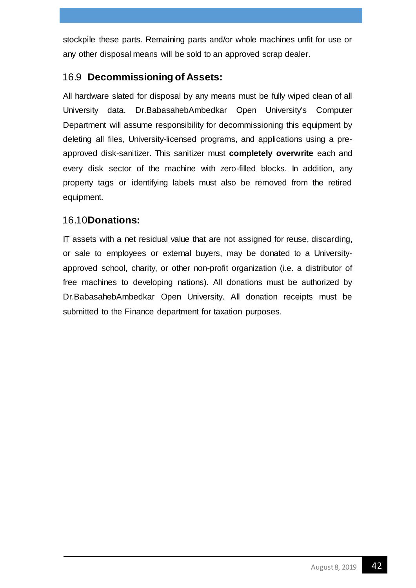stockpile these parts. Remaining parts and/or whole machines unfit for use or any other disposal means will be sold to an approved scrap dealer.

# 16.9 **Decommissioning of Assets:**

All hardware slated for disposal by any means must be fully wiped clean of all University data. Dr.BabasahebAmbedkar Open University's Computer Department will assume responsibility for decommissioning this equipment by deleting all files, University-licensed programs, and applications using a preapproved disk-sanitizer. This sanitizer must **completely overwrite** each and every disk sector of the machine with zero-filled blocks. In addition, any property tags or identifying labels must also be removed from the retired equipment.

#### 16.10**Donations:**

IT assets with a net residual value that are not assigned for reuse, discarding, or sale to employees or external buyers, may be donated to a Universityapproved school, charity, or other non-profit organization (i.e. a distributor of free machines to developing nations). All donations must be authorized by Dr.BabasahebAmbedkar Open University. All donation receipts must be submitted to the Finance department for taxation purposes.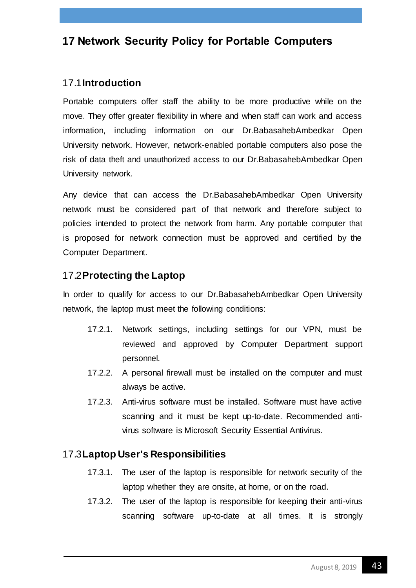# **17 Network Security Policy for Portable Computers**

## 17.1**Introduction**

Portable computers offer staff the ability to be more productive while on the move. They offer greater flexibility in where and when staff can work and access information, including information on our Dr.BabasahebAmbedkar Open University network. However, network-enabled portable computers also pose the risk of data theft and unauthorized access to our Dr.BabasahebAmbedkar Open University network.

Any device that can access the Dr.BabasahebAmbedkar Open University network must be considered part of that network and therefore subject to policies intended to protect the network from harm. Any portable computer that is proposed for network connection must be approved and certified by the Computer Department.

## 17.2**Protecting the Laptop**

In order to qualify for access to our Dr.BabasahebAmbedkar Open University network, the laptop must meet the following conditions:

- 17.2.1. Network settings, including settings for our VPN, must be reviewed and approved by Computer Department support personnel.
- 17.2.2. A personal firewall must be installed on the computer and must always be active.
- 17.2.3. Anti-virus software must be installed. Software must have active scanning and it must be kept up-to-date. Recommended antivirus software is Microsoft Security Essential Antivirus.

#### 17.3**Laptop User's Responsibilities**

- 17.3.1. The user of the laptop is responsible for network security of the laptop whether they are onsite, at home, or on the road.
- 17.3.2. The user of the laptop is responsible for keeping their anti-virus scanning software up-to-date at all times. It is strongly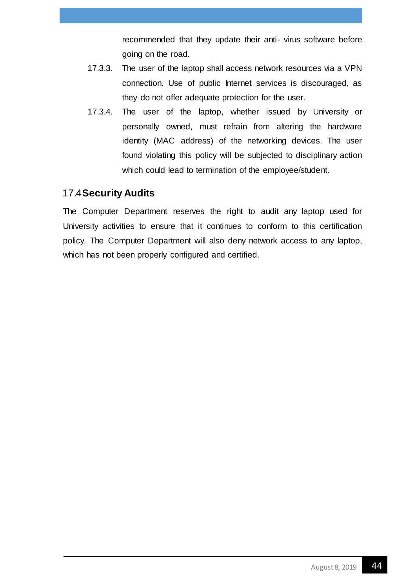recommended that they update their anti- virus software before going on the road.

- 17.3.3. The user of the laptop shall access network resources via a VPN connection. Use of public Internet services is discouraged, as they do not offer adequate protection for the user.
- 17.3.4. The user of the laptop, whether issued by University or personally owned, must refrain from altering the hardware identity (MAC address) of the networking devices. The user found violating this policy will be subjected to disciplinary action which could lead to termination of the employee/student.

#### 17.4**Security Audits**

The Computer Department reserves the right to audit any laptop used for University activities to ensure that it continues to conform to this certification policy. The Computer Department will also deny network access to any laptop, which has not been properly configured and certified.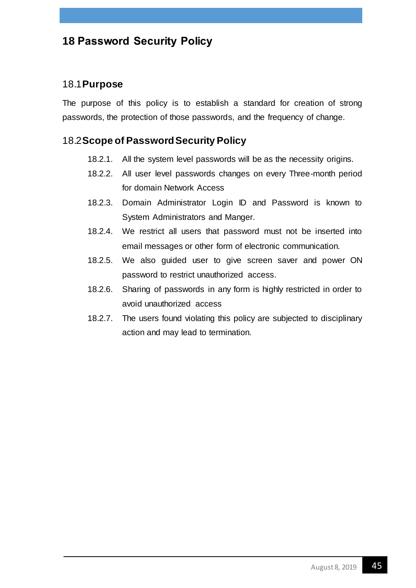# **18 Password Security Policy**

## 18.1**Purpose**

The purpose of this policy is to establish a standard for creation of strong passwords, the protection of those passwords, and the frequency of change.

#### 18.2**Scope of Password Security Policy**

- 18.2.1. All the system level passwords will be as the necessity origins.
- 18.2.2. All user level passwords changes on every Three-month period for domain Network Access
- 18.2.3. Domain Administrator Login ID and Password is known to System Administrators and Manger.
- 18.2.4. We restrict all users that password must not be inserted into email messages or other form of electronic communication.
- 18.2.5. We also guided user to give screen saver and power ON password to restrict unauthorized access.
- 18.2.6. Sharing of passwords in any form is highly restricted in order to avoid unauthorized access
- 18.2.7. The users found violating this policy are subjected to disciplinary action and may lead to termination.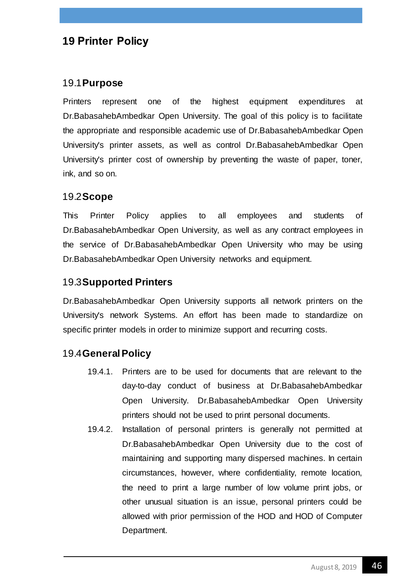# **19 Printer Policy**

#### 19.1**Purpose**

Printers represent one of the highest equipment expenditures at Dr.BabasahebAmbedkar Open University. The goal of this policy is to facilitate the appropriate and responsible academic use of Dr.BabasahebAmbedkar Open University's printer assets, as well as control Dr.BabasahebAmbedkar Open University's printer cost of ownership by preventing the waste of paper, toner, ink, and so on.

#### 19.2**Scope**

This Printer Policy applies to all employees and students of Dr.BabasahebAmbedkar Open University, as well as any contract employees in the service of Dr.BabasahebAmbedkar Open University who may be using Dr.BabasahebAmbedkar Open University networks and equipment.

## 19.3**Supported Printers**

Dr.BabasahebAmbedkar Open University supports all network printers on the University's network Systems. An effort has been made to standardize on specific printer models in order to minimize support and recurring costs.

#### 19.4**General Policy**

- 19.4.1. Printers are to be used for documents that are relevant to the day-to-day conduct of business at Dr.BabasahebAmbedkar Open University. Dr.BabasahebAmbedkar Open University printers should not be used to print personal documents.
- 19.4.2. Installation of personal printers is generally not permitted at Dr.BabasahebAmbedkar Open University due to the cost of maintaining and supporting many dispersed machines. In certain circumstances, however, where confidentiality, remote location, the need to print a large number of low volume print jobs, or other unusual situation is an issue, personal printers could be allowed with prior permission of the HOD and HOD of Computer Department.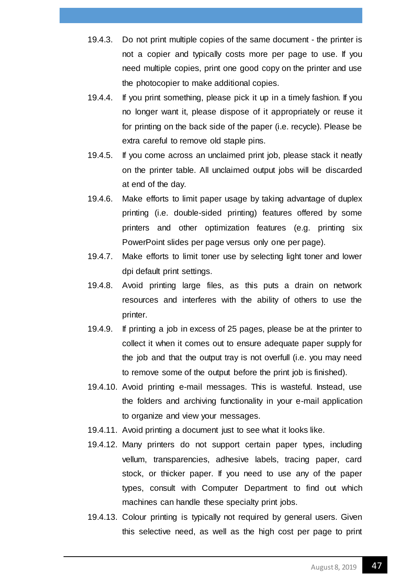- 19.4.3. Do not print multiple copies of the same document the printer is not a copier and typically costs more per page to use. If you need multiple copies, print one good copy on the printer and use the photocopier to make additional copies.
- 19.4.4. If you print something, please pick it up in a timely fashion. If you no longer want it, please dispose of it appropriately or reuse it for printing on the back side of the paper (i.e. recycle). Please be extra careful to remove old staple pins.
- 19.4.5. If you come across an unclaimed print job, please stack it neatly on the printer table. All unclaimed output jobs will be discarded at end of the day.
- 19.4.6. Make efforts to limit paper usage by taking advantage of duplex printing (i.e. double-sided printing) features offered by some printers and other optimization features (e.g. printing six PowerPoint slides per page versus only one per page).
- 19.4.7. Make efforts to limit toner use by selecting light toner and lower dpi default print settings.
- 19.4.8. Avoid printing large files, as this puts a drain on network resources and interferes with the ability of others to use the printer.
- 19.4.9. If printing a job in excess of 25 pages, please be at the printer to collect it when it comes out to ensure adequate paper supply for the job and that the output tray is not overfull (i.e. you may need to remove some of the output before the print job is finished).
- 19.4.10. Avoid printing e-mail messages. This is wasteful. Instead, use the folders and archiving functionality in your e-mail application to organize and view your messages.
- 19.4.11. Avoid printing a document just to see what it looks like.
- 19.4.12. Many printers do not support certain paper types, including vellum, transparencies, adhesive labels, tracing paper, card stock, or thicker paper. If you need to use any of the paper types, consult with Computer Department to find out which machines can handle these specialty print jobs.
- 19.4.13. Colour printing is typically not required by general users. Given this selective need, as well as the high cost per page to print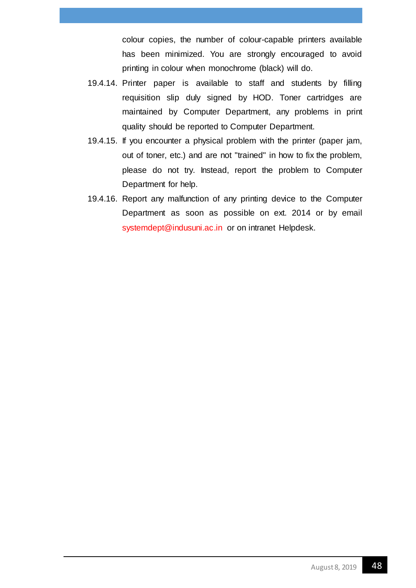colour copies, the number of colour-capable printers available has been minimized. You are strongly encouraged to avoid printing in colour when monochrome (black) will do.

- 19.4.14. Printer paper is available to staff and students by filling requisition slip duly signed by HOD. Toner cartridges are maintained by Computer Department, any problems in print quality should be reported to Computer Department.
- 19.4.15. If you encounter a physical problem with the printer (paper jam, out of toner, etc.) and are not "trained" in how to fix the problem, please do not try. Instead, report the problem to Computer Department for help.
- 19.4.16. Report any malfunction of any printing device to the Computer Department as soon as possible on ext. 2014 or by email [systemdept@indusuni.ac.in](mailto:systemdept@indusuni.ac.in) or on intranet Helpdesk.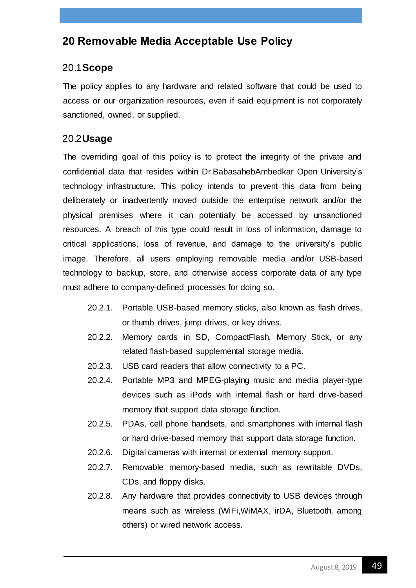# **20 Removable Media Acceptable Use Policy**

#### 20.1**Scope**

The policy applies to any hardware and related software that could be used to access or our organization resources, even if said equipment is not corporately sanctioned, owned, or supplied.

#### 20.2**Usage**

The overriding goal of this policy is to protect the integrity of the private and confidential data that resides within Dr.BabasahebAmbedkar Open University's technology infrastructure. This policy intends to prevent this data from being deliberately or inadvertently moved outside the enterprise network and/or the physical premises where it can potentially be accessed by unsanctioned resources. A breach of this type could result in loss of information, damage to critical applications, loss of revenue, and damage to the university's public image. Therefore, all users employing removable media and/or USB-based technology to backup, store, and otherwise access corporate data of any type must adhere to company-defined processes for doing so.

- 20.2.1. Portable USB-based memory sticks, also known as flash drives, or thumb drives, jump drives, or key drives.
- 20.2.2. Memory cards in SD, CompactFlash, Memory Stick, or any related flash-based supplemental storage media.
- 20.2.3. USB card readers that allow connectivity to a PC.
- 20.2.4. Portable MP3 and MPEG-playing music and media player-type devices such as iPods with internal flash or hard drive-based memory that support data storage function.
- 20.2.5. PDAs, cell phone handsets, and smartphones with internal flash or hard drive-based memory that support data storage function.
- 20.2.6. Digital cameras with internal or external memory support.
- 20.2.7. Removable memory-based media, such as rewritable DVDs, CDs, and floppy disks.
- 20.2.8. Any hardware that provides connectivity to USB devices through means such as wireless (WiFi,WiMAX, irDA, Bluetooth, among others) or wired network access.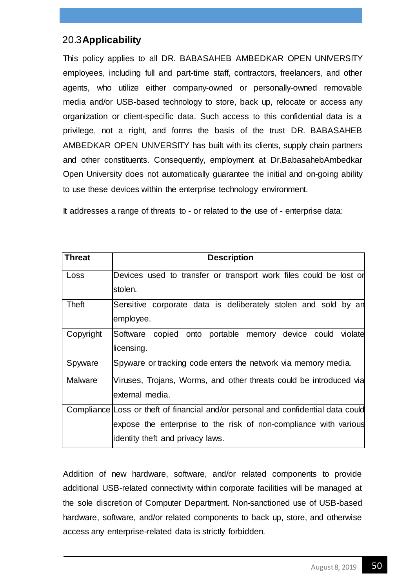# 20.3**Applicability**

This policy applies to all DR. BABASAHEB AMBEDKAR OPEN UNIVERSITY employees, including full and part-time staff, contractors, freelancers, and other agents, who utilize either company-owned or personally-owned removable media and/or USB-based technology to store, back up, relocate or access any organization or client-specific data. Such access to this confidential data is a privilege, not a right, and forms the basis of the trust DR. BABASAHEB AMBEDKAR OPEN UNIVERSITY has built with its clients, supply chain partners and other constituents. Consequently, employment at Dr.BabasahebAmbedkar Open University does not automatically guarantee the initial and on-going ability to use these devices within the enterprise technology environment.

It addresses a range of threats to - or related to the use of - enterprise data:

| <b>Threat</b> | <b>Description</b>                                                                |
|---------------|-----------------------------------------------------------------------------------|
| Loss          | Devices used to transfer or transport work files could be lost or                 |
|               | stolen.                                                                           |
| Theft         | Sensitive corporate data is deliberately stolen and sold by an                    |
|               | employee.                                                                         |
| Copyright     | Software copied onto portable memory device could violate                         |
|               | licensing.                                                                        |
| Spyware       | Spyware or tracking code enters the network via memory media.                     |
| Malware       | Viruses, Trojans, Worms, and other threats could be introduced via                |
|               | external media.                                                                   |
|               | Compliance Loss or theft of financial and/or personal and confidential data could |
|               | expose the enterprise to the risk of non-compliance with various                  |
|               | identity theft and privacy laws.                                                  |

Addition of new hardware, software, and/or related components to provide additional USB-related connectivity within corporate facilities will be managed at the sole discretion of Computer Department. Non-sanctioned use of USB-based hardware, software, and/or related components to back up, store, and otherwise access any enterprise-related data is strictly forbidden.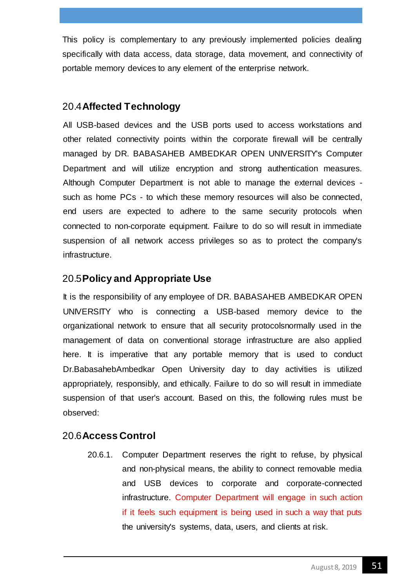This policy is complementary to any previously implemented policies dealing specifically with data access, data storage, data movement, and connectivity of portable memory devices to any element of the enterprise network.

# 20.4**Affected Technology**

All USB-based devices and the USB ports used to access workstations and other related connectivity points within the corporate firewall will be centrally managed by DR. BABASAHEB AMBEDKAR OPEN UNIVERSITY's Computer Department and will utilize encryption and strong authentication measures. Although Computer Department is not able to manage the external devices such as home PCs - to which these memory resources will also be connected, end users are expected to adhere to the same security protocols when connected to non-corporate equipment. Failure to do so will result in immediate suspension of all network access privileges so as to protect the company's infrastructure.

# 20.5**Policy and Appropriate Use**

It is the responsibility of any employee of DR. BABASAHEB AMBEDKAR OPEN UNIVERSITY who is connecting a USB-based memory device to the organizational network to ensure that all security protocolsnormally used in the management of data on conventional storage infrastructure are also applied here. It is imperative that any portable memory that is used to conduct Dr.BabasahebAmbedkar Open University day to day activities is utilized appropriately, responsibly, and ethically. Failure to do so will result in immediate suspension of that user's account. Based on this, the following rules must be observed:

# 20.6**Access Control**

20.6.1. Computer Department reserves the right to refuse, by physical and non-physical means, the ability to connect removable media and USB devices to corporate and corporate-connected infrastructure. Computer Department will engage in such action if it feels such equipment is being used in such a way that puts the university's systems, data, users, and clients at risk.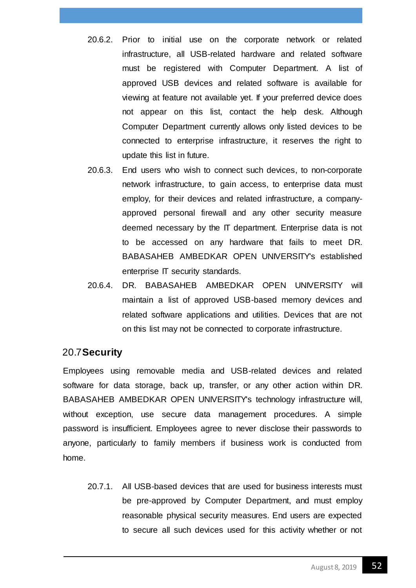- 20.6.2. Prior to initial use on the corporate network or related infrastructure, all USB-related hardware and related software must be registered with Computer Department. A list of approved USB devices and related software is available for viewing at feature not available yet. If your preferred device does not appear on this list, contact the help desk. Although Computer Department currently allows only listed devices to be connected to enterprise infrastructure, it reserves the right to update this list in future.
- 20.6.3. End users who wish to connect such devices, to non-corporate network infrastructure, to gain access, to enterprise data must employ, for their devices and related infrastructure, a companyapproved personal firewall and any other security measure deemed necessary by the IT department. Enterprise data is not to be accessed on any hardware that fails to meet DR. BABASAHEB AMBEDKAR OPEN UNIVERSITY's established enterprise IT security standards.
- 20.6.4. DR. BABASAHEB AMBEDKAR OPEN UNIVERSITY will maintain a list of approved USB-based memory devices and related software applications and utilities. Devices that are not on this list may not be connected to corporate infrastructure.

#### 20.7**Security**

Employees using removable media and USB-related devices and related software for data storage, back up, transfer, or any other action within DR. BABASAHEB AMBEDKAR OPEN UNIVERSITY's technology infrastructure will, without exception, use secure data management procedures. A simple password is insufficient. Employees agree to never disclose their passwords to anyone, particularly to family members if business work is conducted from home.

20.7.1. All USB-based devices that are used for business interests must be pre-approved by Computer Department, and must employ reasonable physical security measures. End users are expected to secure all such devices used for this activity whether or not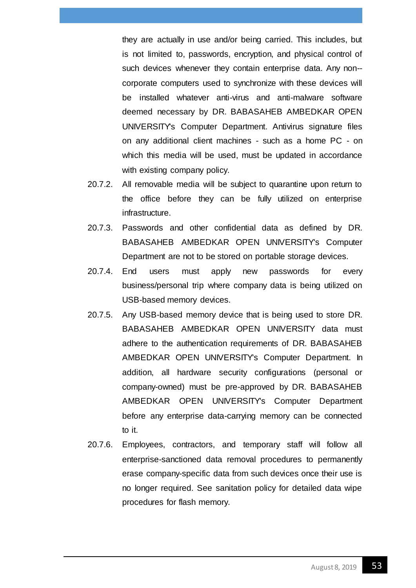they are actually in use and/or being carried. This includes, but is not limited to, passwords, encryption, and physical control of such devices whenever they contain enterprise data. Any non- corporate computers used to synchronize with these devices will be installed whatever anti-virus and anti-malware software deemed necessary by DR. BABASAHEB AMBEDKAR OPEN UNIVERSITY's Computer Department. Antivirus signature files on any additional client machines - such as a home PC - on which this media will be used, must be updated in accordance with existing company policy.

- 20.7.2. All removable media will be subject to quarantine upon return to the office before they can be fully utilized on enterprise infrastructure.
- 20.7.3. Passwords and other confidential data as defined by DR. BABASAHEB AMBEDKAR OPEN UNIVERSITY's Computer Department are not to be stored on portable storage devices.
- 20.7.4. End users must apply new passwords for every business/personal trip where company data is being utilized on USB-based memory devices.
- 20.7.5. Any USB-based memory device that is being used to store DR. BABASAHEB AMBEDKAR OPEN UNIVERSITY data must adhere to the authentication requirements of DR. BABASAHEB AMBEDKAR OPEN UNIVERSITY's Computer Department. In addition, all hardware security configurations (personal or company-owned) must be pre-approved by DR. BABASAHEB AMBEDKAR OPEN UNIVERSITY's Computer Department before any enterprise data-carrying memory can be connected to it.
- 20.7.6. Employees, contractors, and temporary staff will follow all enterprise-sanctioned data removal procedures to permanently erase company-specific data from such devices once their use is no longer required. See sanitation policy for detailed data wipe procedures for flash memory.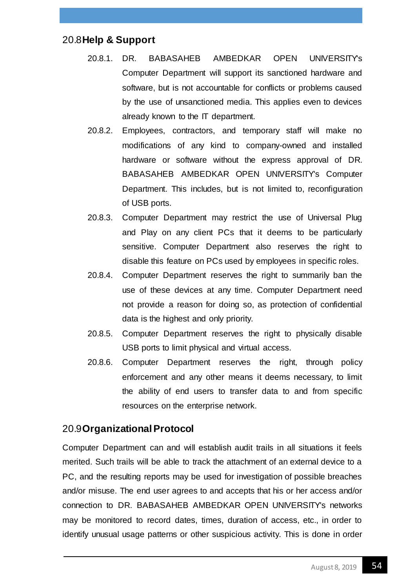## 20.8**Help & Support**

- 20.8.1. DR. BABASAHEB AMBEDKAR OPEN UNIVERSITY's Computer Department will support its sanctioned hardware and software, but is not accountable for conflicts or problems caused by the use of unsanctioned media. This applies even to devices already known to the IT department.
- 20.8.2. Employees, contractors, and temporary staff will make no modifications of any kind to company-owned and installed hardware or software without the express approval of DR. BABASAHEB AMBEDKAR OPEN UNIVERSITY's Computer Department. This includes, but is not limited to, reconfiguration of USB ports.
- 20.8.3. Computer Department may restrict the use of Universal Plug and Play on any client PCs that it deems to be particularly sensitive. Computer Department also reserves the right to disable this feature on PCs used by employees in specific roles.
- 20.8.4. Computer Department reserves the right to summarily ban the use of these devices at any time. Computer Department need not provide a reason for doing so, as protection of confidential data is the highest and only priority.
- 20.8.5. Computer Department reserves the right to physically disable USB ports to limit physical and virtual access.
- 20.8.6. Computer Department reserves the right, through policy enforcement and any other means it deems necessary, to limit the ability of end users to transfer data to and from specific resources on the enterprise network.

#### 20.9**Organizational Protocol**

Computer Department can and will establish audit trails in all situations it feels merited. Such trails will be able to track the attachment of an external device to a PC, and the resulting reports may be used for investigation of possible breaches and/or misuse. The end user agrees to and accepts that his or her access and/or connection to DR. BABASAHEB AMBEDKAR OPEN UNIVERSITY's networks may be monitored to record dates, times, duration of access, etc., in order to identify unusual usage patterns or other suspicious activity. This is done in order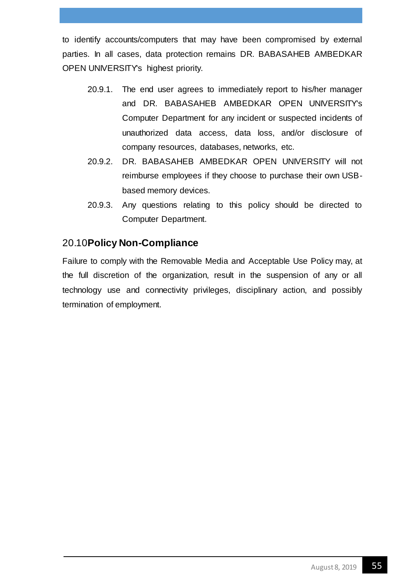to identify accounts/computers that may have been compromised by external parties. In all cases, data protection remains DR. BABASAHEB AMBEDKAR OPEN UNIVERSITY's highest priority.

- 20.9.1. The end user agrees to immediately report to his/her manager and DR. BABASAHEB AMBEDKAR OPEN UNIVERSITY's Computer Department for any incident or suspected incidents of unauthorized data access, data loss, and/or disclosure of company resources, databases, networks, etc.
- 20.9.2. DR. BABASAHEB AMBEDKAR OPEN UNIVERSITY will not reimburse employees if they choose to purchase their own USBbased memory devices.
- 20.9.3. Any questions relating to this policy should be directed to Computer Department.

## 20.10**Policy Non-Compliance**

Failure to comply with the Removable Media and Acceptable Use Policy may, at the full discretion of the organization, result in the suspension of any or all technology use and connectivity privileges, disciplinary action, and possibly termination of employment.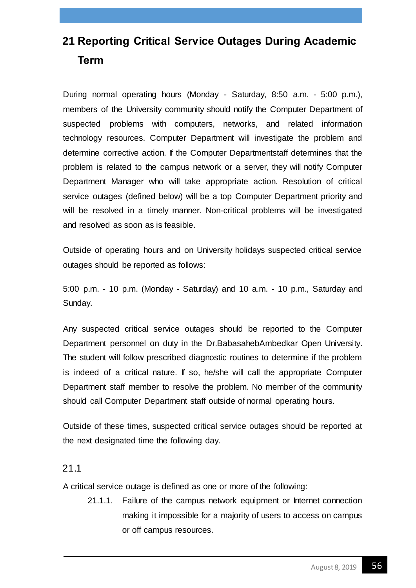# **21 Reporting Critical Service Outages During Academic Term**

During normal operating hours (Monday - Saturday, 8:50 a.m. - 5:00 p.m.), members of the University community should notify the Computer Department of suspected problems with computers, networks, and related information technology resources. Computer Department will investigate the problem and determine corrective action. If the Computer Departmentstaff determines that the problem is related to the campus network or a server, they will notify Computer Department Manager who will take appropriate action. Resolution of critical service outages (defined below) will be a top Computer Department priority and will be resolved in a timely manner. Non-critical problems will be investigated and resolved as soon as is feasible.

Outside of operating hours and on University holidays suspected critical service outages should be reported as follows:

5:00 p.m. - 10 p.m. (Monday - Saturday) and 10 a.m. - 10 p.m., Saturday and Sunday.

Any suspected critical service outages should be reported to the Computer Department personnel on duty in the Dr.BabasahebAmbedkar Open University. The student will follow prescribed diagnostic routines to determine if the problem is indeed of a critical nature. If so, he/she will call the appropriate Computer Department staff member to resolve the problem. No member of the community should call Computer Department staff outside of normal operating hours.

Outside of these times, suspected critical service outages should be reported at the next designated time the following day.

#### 21.1

A critical service outage is defined as one or more of the following:

21.1.1. Failure of the campus network equipment or Internet connection making it impossible for a majority of users to access on campus or off campus resources.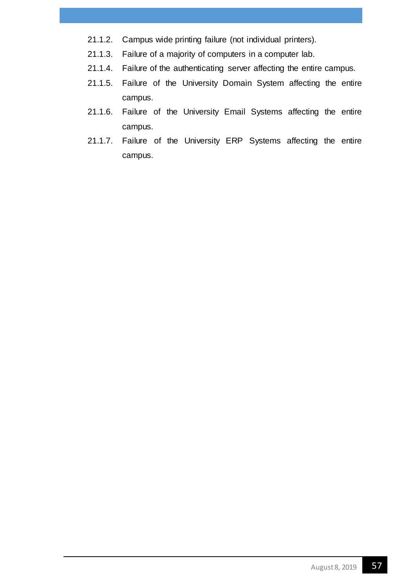- 21.1.2. Campus wide printing failure (not individual printers).
- 21.1.3. Failure of a majority of computers in a computer lab.
- 21.1.4. Failure of the authenticating server affecting the entire campus.
- 21.1.5. Failure of the University Domain System affecting the entire campus.
- 21.1.6. Failure of the University Email Systems affecting the entire campus.
- 21.1.7. Failure of the University ERP Systems affecting the entire campus.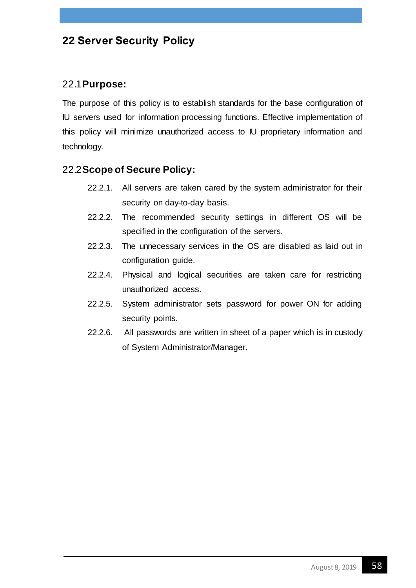# **22 Server Security Policy**

#### 22.1**Purpose:**

The purpose of this policy is to establish standards for the base configuration of IU servers used for information processing functions. Effective implementation of this policy will minimize unauthorized access to IU proprietary information and technology.

# 22.2**Scope of Secure Policy:**

- 22.2.1. All servers are taken cared by the system administrator for their security on day-to-day basis.
- 22.2.2. The recommended security settings in different OS will be specified in the configuration of the servers.
- 22.2.3. The unnecessary services in the OS are disabled as laid out in configuration guide.
- 22.2.4. Physical and logical securities are taken care for restricting unauthorized access.
- 22.2.5. System administrator sets password for power ON for adding security points.
- 22.2.6. All passwords are written in sheet of a paper which is in custody of System Administrator/Manager.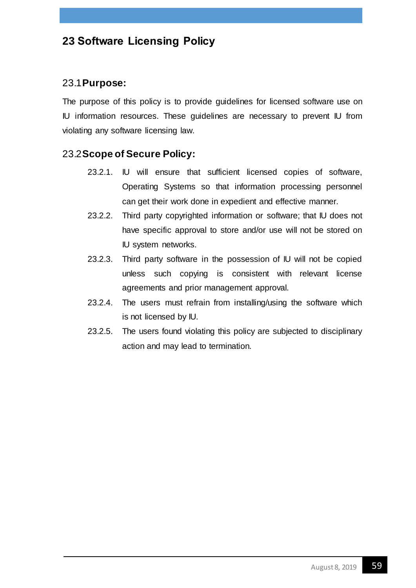# **23 Software Licensing Policy**

#### 23.1**Purpose:**

The purpose of this policy is to provide guidelines for licensed software use on IU information resources. These guidelines are necessary to prevent IU from violating any software licensing law.

## 23.2**Scope of Secure Policy:**

- 23.2.1. IU will ensure that sufficient licensed copies of software, Operating Systems so that information processing personnel can get their work done in expedient and effective manner.
- 23.2.2. Third party copyrighted information or software; that IU does not have specific approval to store and/or use will not be stored on IU system networks.
- 23.2.3. Third party software in the possession of IU will not be copied unless such copying is consistent with relevant license agreements and prior management approval.
- 23.2.4. The users must refrain from installing/using the software which is not licensed by IU.
- 23.2.5. The users found violating this policy are subjected to disciplinary action and may lead to termination.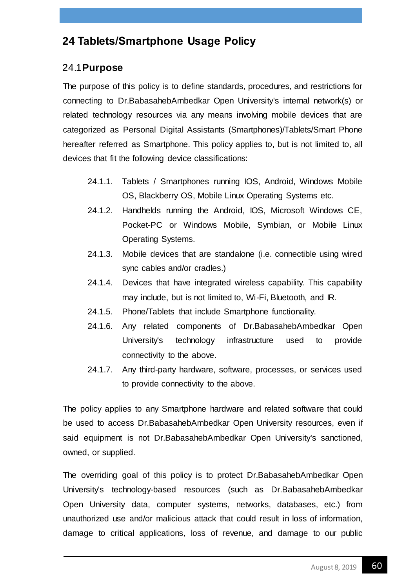# **24 Tablets/Smartphone Usage Policy**

#### 24.1**Purpose**

The purpose of this policy is to define standards, procedures, and restrictions for connecting to Dr.BabasahebAmbedkar Open University's internal network(s) or related technology resources via any means involving mobile devices that are categorized as Personal Digital Assistants (Smartphones)/Tablets/Smart Phone hereafter referred as Smartphone. This policy applies to, but is not limited to, all devices that fit the following device classifications:

- 24.1.1. Tablets / Smartphones running IOS, Android, Windows Mobile OS, Blackberry OS, Mobile Linux Operating Systems etc.
- 24.1.2. Handhelds running the Android, IOS, Microsoft Windows CE, Pocket-PC or Windows Mobile, Symbian, or Mobile Linux Operating Systems.
- 24.1.3. Mobile devices that are standalone (i.e. connectible using wired sync cables and/or cradles.)
- 24.1.4. Devices that have integrated wireless capability. This capability may include, but is not limited to, Wi-Fi, Bluetooth, and IR.
- 24.1.5. Phone/Tablets that include Smartphone functionality.
- 24.1.6. Any related components of Dr.BabasahebAmbedkar Open University's technology infrastructure used to provide connectivity to the above.
- 24.1.7. Any third-party hardware, software, processes, or services used to provide connectivity to the above.

The policy applies to any Smartphone hardware and related software that could be used to access Dr.BabasahebAmbedkar Open University resources, even if said equipment is not Dr.BabasahebAmbedkar Open University's sanctioned, owned, or supplied.

The overriding goal of this policy is to protect Dr.BabasahebAmbedkar Open University's technology-based resources (such as Dr.BabasahebAmbedkar Open University data, computer systems, networks, databases, etc.) from unauthorized use and/or malicious attack that could result in loss of information, damage to critical applications, loss of revenue, and damage to our public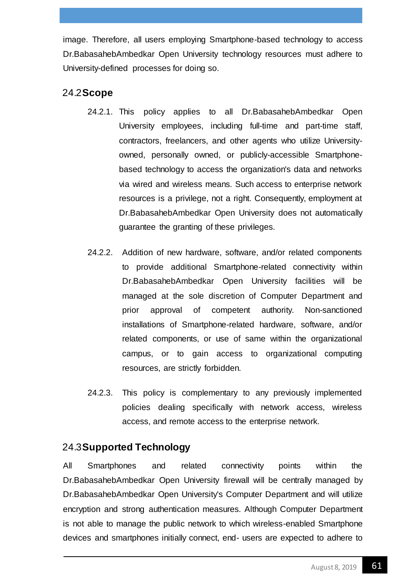image. Therefore, all users employing Smartphone-based technology to access Dr.BabasahebAmbedkar Open University technology resources must adhere to University-defined processes for doing so.

#### 24.2**Scope**

- 24.2.1. This policy applies to all Dr.BabasahebAmbedkar Open University employees, including full-time and part-time staff, contractors, freelancers, and other agents who utilize Universityowned, personally owned, or publicly-accessible Smartphonebased technology to access the organization's data and networks via wired and wireless means. Such access to enterprise network resources is a privilege, not a right. Consequently, employment at Dr.BabasahebAmbedkar Open University does not automatically guarantee the granting of these privileges.
- 24.2.2. Addition of new hardware, software, and/or related components to provide additional Smartphone-related connectivity within Dr.BabasahebAmbedkar Open University facilities will be managed at the sole discretion of Computer Department and prior approval of competent authority. Non-sanctioned installations of Smartphone-related hardware, software, and/or related components, or use of same within the organizational campus, or to gain access to organizational computing resources, are strictly forbidden.
- 24.2.3. This policy is complementary to any previously implemented policies dealing specifically with network access, wireless access, and remote access to the enterprise network.

# 24.3**Supported Technology**

All Smartphones and related connectivity points within the Dr.BabasahebAmbedkar Open University firewall will be centrally managed by Dr.BabasahebAmbedkar Open University's Computer Department and will utilize encryption and strong authentication measures. Although Computer Department is not able to manage the public network to which wireless-enabled Smartphone devices and smartphones initially connect, end- users are expected to adhere to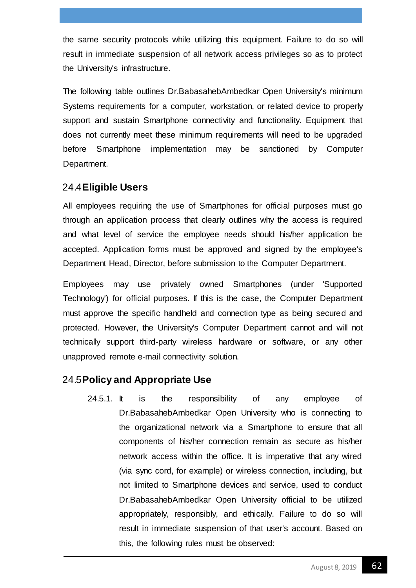the same security protocols while utilizing this equipment. Failure to do so will result in immediate suspension of all network access privileges so as to protect the University's infrastructure.

The following table outlines Dr.BabasahebAmbedkar Open University's minimum Systems requirements for a computer, workstation, or related device to properly support and sustain Smartphone connectivity and functionality. Equipment that does not currently meet these minimum requirements will need to be upgraded before Smartphone implementation may be sanctioned by Computer Department.

## 24.4**Eligible Users**

All employees requiring the use of Smartphones for official purposes must go through an application process that clearly outlines why the access is required and what level of service the employee needs should his/her application be accepted. Application forms must be approved and signed by the employee's Department Head, Director, before submission to the Computer Department.

Employees may use privately owned Smartphones (under 'Supported Technology') for official purposes. If this is the case, the Computer Department must approve the specific handheld and connection type as being secured and protected. However, the University's Computer Department cannot and will not technically support third-party wireless hardware or software, or any other unapproved remote e-mail connectivity solution.

# 24.5**Policy and Appropriate Use**

24.5.1. It is the responsibility of any employee of Dr.BabasahebAmbedkar Open University who is connecting to the organizational network via a Smartphone to ensure that all components of his/her connection remain as secure as his/her network access within the office. It is imperative that any wired (via sync cord, for example) or wireless connection, including, but not limited to Smartphone devices and service, used to conduct Dr.BabasahebAmbedkar Open University official to be utilized appropriately, responsibly, and ethically. Failure to do so will result in immediate suspension of that user's account. Based on this, the following rules must be observed: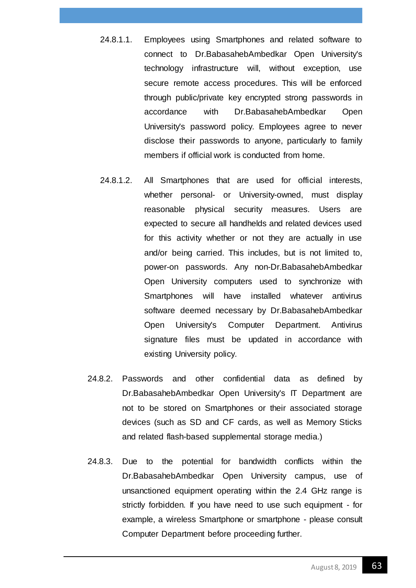- 24.8.1.1. Employees using Smartphones and related software to connect to Dr.BabasahebAmbedkar Open University's technology infrastructure will, without exception, use secure remote access procedures. This will be enforced through public/private key encrypted strong passwords in accordance with Dr.BabasahebAmbedkar Open University's password policy. Employees agree to never disclose their passwords to anyone, particularly to family members if official work is conducted from home.
- 24.8.1.2. All Smartphones that are used for official interests, whether personal- or University-owned, must display reasonable physical security measures. Users are expected to secure all handhelds and related devices used for this activity whether or not they are actually in use and/or being carried. This includes, but is not limited to, power-on passwords. Any non-Dr.BabasahebAmbedkar Open University computers used to synchronize with Smartphones will have installed whatever antivirus software deemed necessary by Dr.BabasahebAmbedkar Open University's Computer Department. Antivirus signature files must be updated in accordance with existing University policy.
- 24.8.2. Passwords and other confidential data as defined by Dr.BabasahebAmbedkar Open University's IT Department are not to be stored on Smartphones or their associated storage devices (such as SD and CF cards, as well as Memory Sticks and related flash-based supplemental storage media.)
- 24.8.3. Due to the potential for bandwidth conflicts within the Dr.BabasahebAmbedkar Open University campus, use of unsanctioned equipment operating within the 2.4 GHz range is strictly forbidden. If you have need to use such equipment - for example, a wireless Smartphone or smartphone - please consult Computer Department before proceeding further.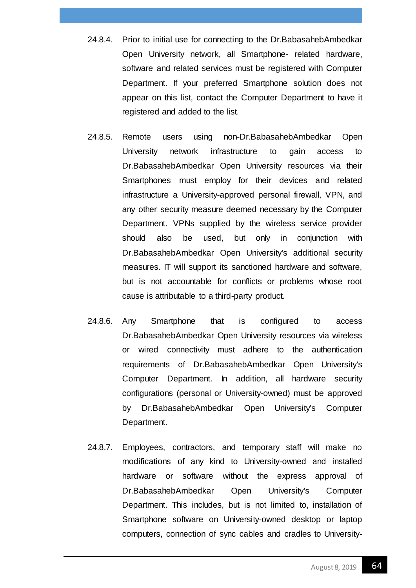- 24.8.4. Prior to initial use for connecting to the Dr.BabasahebAmbedkar Open University network, all Smartphone- related hardware, software and related services must be registered with Computer Department. If your preferred Smartphone solution does not appear on this list, contact the Computer Department to have it registered and added to the list.
- 24.8.5. Remote users using non-Dr.BabasahebAmbedkar Open University network infrastructure to gain access to Dr.BabasahebAmbedkar Open University resources via their Smartphones must employ for their devices and related infrastructure a University-approved personal firewall, VPN, and any other security measure deemed necessary by the Computer Department. VPNs supplied by the wireless service provider should also be used, but only in conjunction with Dr.BabasahebAmbedkar Open University's additional security measures. IT will support its sanctioned hardware and software, but is not accountable for conflicts or problems whose root cause is attributable to a third-party product.
- 24.8.6. Any Smartphone that is configured to access Dr.BabasahebAmbedkar Open University resources via wireless or wired connectivity must adhere to the authentication requirements of Dr.BabasahebAmbedkar Open University's Computer Department. In addition, all hardware security configurations (personal or University-owned) must be approved by Dr.BabasahebAmbedkar Open University's Computer Department.
- 24.8.7. Employees, contractors, and temporary staff will make no modifications of any kind to University-owned and installed hardware or software without the express approval of Dr.BabasahebAmbedkar Open University's Computer Department. This includes, but is not limited to, installation of Smartphone software on University-owned desktop or laptop computers, connection of sync cables and cradles to University-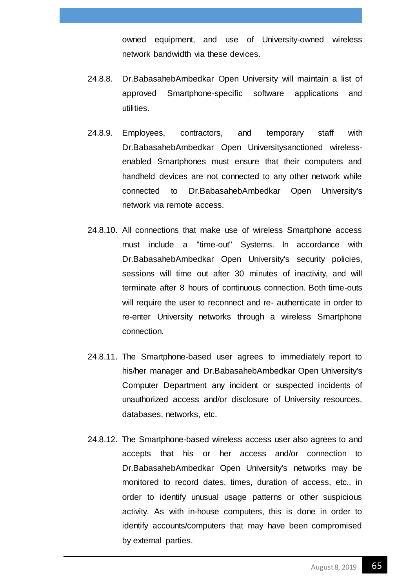owned equipment, and use of University-owned wireless network bandwidth via these devices.

- 24.8.8. Dr.BabasahebAmbedkar Open University will maintain a list of approved Smartphone-specific software applications and utilities.
- 24.8.9. Employees, contractors, and temporary staff with Dr.BabasahebAmbedkar Open Universitysanctioned wirelessenabled Smartphones must ensure that their computers and handheld devices are not connected to any other network while connected to Dr.BabasahebAmbedkar Open University's network via remote access.
- 24.8.10. All connections that make use of wireless Smartphone access must include a "time-out" Systems. In accordance with Dr.BabasahebAmbedkar Open University's security policies, sessions will time out after 30 minutes of inactivity, and will terminate after 8 hours of continuous connection. Both time-outs will require the user to reconnect and re- authenticate in order to re-enter University networks through a wireless Smartphone connection.
- 24.8.11. The Smartphone-based user agrees to immediately report to his/her manager and Dr.BabasahebAmbedkar Open University's Computer Department any incident or suspected incidents of unauthorized access and/or disclosure of University resources, databases, networks, etc.
- 24.8.12. The Smartphone-based wireless access user also agrees to and accepts that his or her access and/or connection to Dr.BabasahebAmbedkar Open University's networks may be monitored to record dates, times, duration of access, etc., in order to identify unusual usage patterns or other suspicious activity. As with in-house computers, this is done in order to identify accounts/computers that may have been compromised by external parties.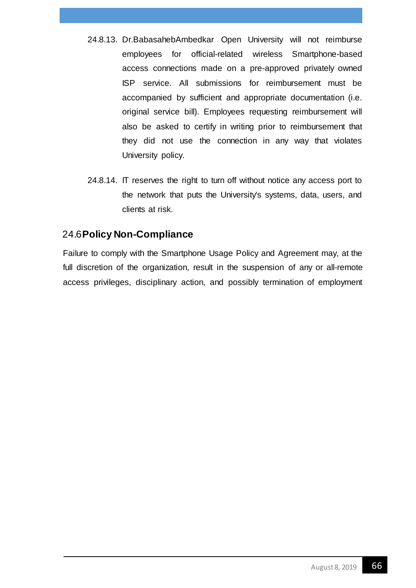- 24.8.13. Dr.BabasahebAmbedkar Open University will not reimburse employees for official-related wireless Smartphone-based access connections made on a pre-approved privately owned ISP service. All submissions for reimbursement must be accompanied by sufficient and appropriate documentation (i.e. original service bill). Employees requesting reimbursement will also be asked to certify in writing prior to reimbursement that they did not use the connection in any way that violates University policy.
- 24.8.14. IT reserves the right to turn off without notice any access port to the network that puts the University's systems, data, users, and clients at risk.

# 24.6**Policy Non-Compliance**

Failure to comply with the Smartphone Usage Policy and Agreement may, at the full discretion of the organization, result in the suspension of any or all-remote access privileges, disciplinary action, and possibly termination of employment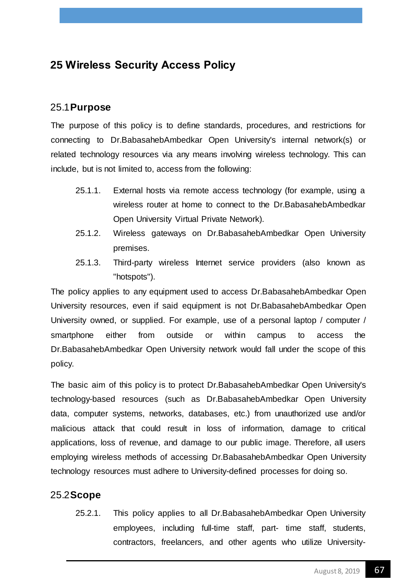# **25 Wireless Security Access Policy**

#### 25.1**Purpose**

The purpose of this policy is to define standards, procedures, and restrictions for connecting to Dr.BabasahebAmbedkar Open University's internal network(s) or related technology resources via any means involving wireless technology. This can include, but is not limited to, access from the following:

- 25.1.1. External hosts via remote access technology (for example, using a wireless router at home to connect to the Dr.BabasahebAmbedkar Open University Virtual Private Network).
- 25.1.2. Wireless gateways on Dr.BabasahebAmbedkar Open University premises.
- 25.1.3. Third-party wireless Internet service providers (also known as "hotspots").

The policy applies to any equipment used to access Dr.BabasahebAmbedkar Open University resources, even if said equipment is not Dr.BabasahebAmbedkar Open University owned, or supplied. For example, use of a personal laptop / computer / smartphone either from outside or within campus to access the Dr.BabasahebAmbedkar Open University network would fall under the scope of this policy.

The basic aim of this policy is to protect Dr.BabasahebAmbedkar Open University's technology-based resources (such as Dr.BabasahebAmbedkar Open University data, computer systems, networks, databases, etc.) from unauthorized use and/or malicious attack that could result in loss of information, damage to critical applications, loss of revenue, and damage to our public image. Therefore, all users employing wireless methods of accessing Dr.BabasahebAmbedkar Open University technology resources must adhere to University-defined processes for doing so.

#### 25.2**Scope**

25.2.1. This policy applies to all Dr.BabasahebAmbedkar Open University employees, including full-time staff, part- time staff, students, contractors, freelancers, and other agents who utilize University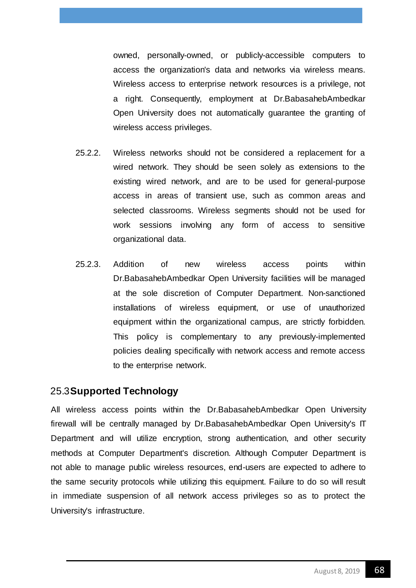owned, personally-owned, or publicly-accessible computers to access the organization's data and networks via wireless means. Wireless access to enterprise network resources is a privilege, not a right. Consequently, employment at Dr.BabasahebAmbedkar Open University does not automatically guarantee the granting of wireless access privileges.

- 25.2.2. Wireless networks should not be considered a replacement for a wired network. They should be seen solely as extensions to the existing wired network, and are to be used for general-purpose access in areas of transient use, such as common areas and selected classrooms. Wireless segments should not be used for work sessions involving any form of access to sensitive organizational data.
- 25.2.3. Addition of new wireless access points within Dr.BabasahebAmbedkar Open University facilities will be managed at the sole discretion of Computer Department. Non-sanctioned installations of wireless equipment, or use of unauthorized equipment within the organizational campus, are strictly forbidden. This policy is complementary to any previously-implemented policies dealing specifically with network access and remote access to the enterprise network.

#### 25.3**Supported Technology**

All wireless access points within the Dr.BabasahebAmbedkar Open University firewall will be centrally managed by Dr.BabasahebAmbedkar Open University's IT Department and will utilize encryption, strong authentication, and other security methods at Computer Department's discretion. Although Computer Department is not able to manage public wireless resources, end-users are expected to adhere to the same security protocols while utilizing this equipment. Failure to do so will result in immediate suspension of all network access privileges so as to protect the University's infrastructure.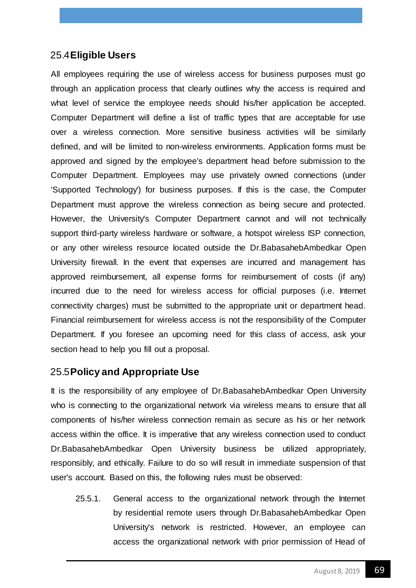## 25.4**Eligible Users**

All employees requiring the use of wireless access for business purposes must go through an application process that clearly outlines why the access is required and what level of service the employee needs should his/her application be accepted. Computer Department will define a list of traffic types that are acceptable for use over a wireless connection. More sensitive business activities will be similarly defined, and will be limited to non-wireless environments. Application forms must be approved and signed by the employee's department head before submission to the Computer Department. Employees may use privately owned connections (under 'Supported Technology') for business purposes. If this is the case, the Computer Department must approve the wireless connection as being secure and protected. However, the University's Computer Department cannot and will not technically support third-party wireless hardware or software, a hotspot wireless ISP connection, or any other wireless resource located outside the Dr.BabasahebAmbedkar Open University firewall. In the event that expenses are incurred and management has approved reimbursement, all expense forms for reimbursement of costs (if any) incurred due to the need for wireless access for official purposes (i.e. Internet connectivity charges) must be submitted to the appropriate unit or department head. Financial reimbursement for wireless access is not the responsibility of the Computer Department. If you foresee an upcoming need for this class of access, ask your section head to help you fill out a proposal.

#### 25.5**Policy and Appropriate Use**

It is the responsibility of any employee of Dr.BabasahebAmbedkar Open University who is connecting to the organizational network via wireless means to ensure that all components of his/her wireless connection remain as secure as his or her network access within the office. It is imperative that any wireless connection used to conduct Dr.BabasahebAmbedkar Open University business be utilized appropriately, responsibly, and ethically. Failure to do so will result in immediate suspension of that user's account. Based on this, the following rules must be observed:

25.5.1. General access to the organizational network through the Internet by residential remote users through Dr.BabasahebAmbedkar Open University's network is restricted. However, an employee can access the organizational network with prior permission of Head of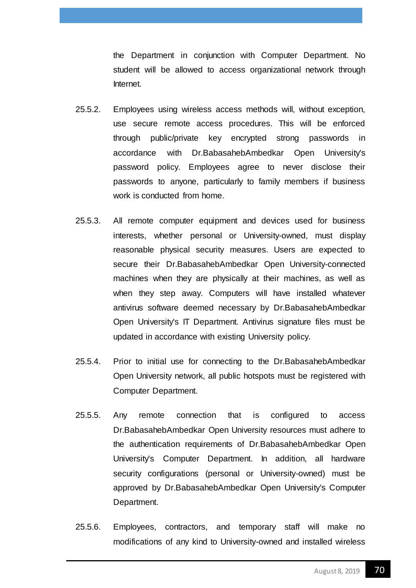the Department in conjunction with Computer Department. No student will be allowed to access organizational network through Internet.

- 25.5.2. Employees using wireless access methods will, without exception, use secure remote access procedures. This will be enforced through public/private key encrypted strong passwords in accordance with Dr.BabasahebAmbedkar Open University's password policy. Employees agree to never disclose their passwords to anyone, particularly to family members if business work is conducted from home.
- 25.5.3. All remote computer equipment and devices used for business interests, whether personal or University-owned, must display reasonable physical security measures. Users are expected to secure their Dr.BabasahebAmbedkar Open University-connected machines when they are physically at their machines, as well as when they step away. Computers will have installed whatever antivirus software deemed necessary by Dr.BabasahebAmbedkar Open University's IT Department. Antivirus signature files must be updated in accordance with existing University policy.
- 25.5.4. Prior to initial use for connecting to the Dr.BabasahebAmbedkar Open University network, all public hotspots must be registered with Computer Department.
- 25.5.5. Any remote connection that is configured to access Dr.BabasahebAmbedkar Open University resources must adhere to the authentication requirements of Dr.BabasahebAmbedkar Open University's Computer Department. In addition, all hardware security configurations (personal or University-owned) must be approved by Dr.BabasahebAmbedkar Open University's Computer Department.
- 25.5.6. Employees, contractors, and temporary staff will make no modifications of any kind to University-owned and installed wireless